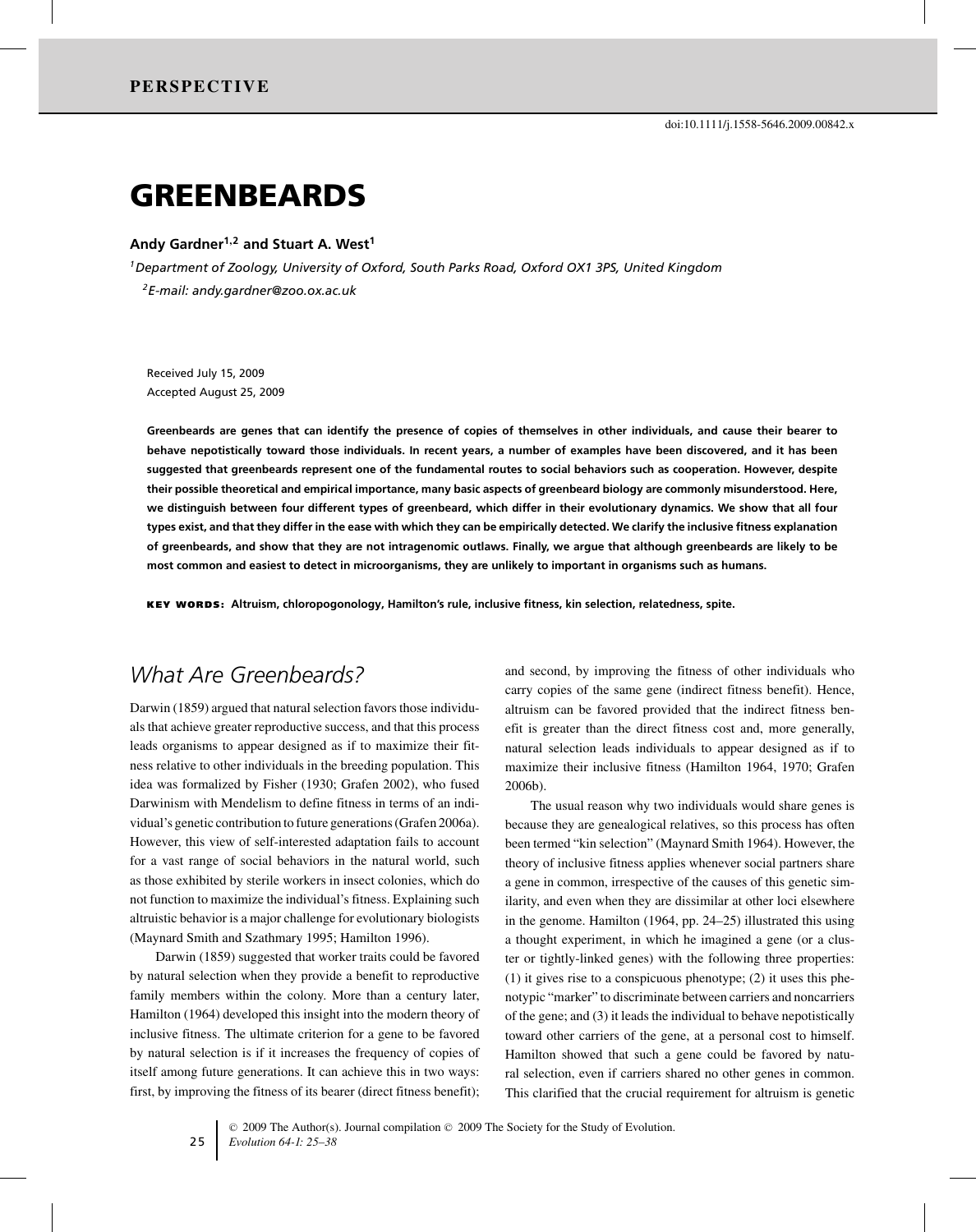# GREENBEARDS

**Andy Gardner1,<sup>2</sup> and Stuart A. West<sup>1</sup>**

*1Department of Zoology, University of Oxford, South Parks Road, Oxford OX1 3PS, United Kingdom 2E-mail: andy.gardner@zoo.ox.ac.uk*

Received July 15, 2009 Accepted August 25, 2009

**Greenbeards are genes that can identify the presence of copies of themselves in other individuals, and cause their bearer to behave nepotistically toward those individuals. In recent years, a number of examples have been discovered, and it has been suggested that greenbeards represent one of the fundamental routes to social behaviors such as cooperation. However, despite their possible theoretical and empirical importance, many basic aspects of greenbeard biology are commonly misunderstood. Here, we distinguish between four different types of greenbeard, which differ in their evolutionary dynamics. We show that all four types exist, and that they differ in the ease with which they can be empirically detected. We clarify the inclusive fitness explanation of greenbeards, and show that they are not intragenomic outlaws. Finally, we argue that although greenbeards are likely to be most common and easiest to detect in microorganisms, they are unlikely to important in organisms such as humans.**

KEY WORDS: **Altruism, chloropogonology, Hamilton's rule, inclusive fitness, kin selection, relatedness, spite.**

# *What Are Greenbeards?*

Darwin (1859) argued that natural selection favors those individuals that achieve greater reproductive success, and that this process leads organisms to appear designed as if to maximize their fitness relative to other individuals in the breeding population. This idea was formalized by Fisher (1930; Grafen 2002), who fused Darwinism with Mendelism to define fitness in terms of an individual's genetic contribution to future generations (Grafen 2006a). However, this view of self-interested adaptation fails to account for a vast range of social behaviors in the natural world, such as those exhibited by sterile workers in insect colonies, which do not function to maximize the individual's fitness. Explaining such altruistic behavior is a major challenge for evolutionary biologists (Maynard Smith and Szathmary 1995; Hamilton 1996).

Darwin (1859) suggested that worker traits could be favored by natural selection when they provide a benefit to reproductive family members within the colony. More than a century later, Hamilton (1964) developed this insight into the modern theory of inclusive fitness. The ultimate criterion for a gene to be favored by natural selection is if it increases the frequency of copies of itself among future generations. It can achieve this in two ways: first, by improving the fitness of its bearer (direct fitness benefit); and second, by improving the fitness of other individuals who carry copies of the same gene (indirect fitness benefit). Hence, altruism can be favored provided that the indirect fitness benefit is greater than the direct fitness cost and, more generally, natural selection leads individuals to appear designed as if to maximize their inclusive fitness (Hamilton 1964, 1970; Grafen 2006b).

The usual reason why two individuals would share genes is because they are genealogical relatives, so this process has often been termed "kin selection" (Maynard Smith 1964). However, the theory of inclusive fitness applies whenever social partners share a gene in common, irrespective of the causes of this genetic similarity, and even when they are dissimilar at other loci elsewhere in the genome. Hamilton (1964, pp. 24–25) illustrated this using a thought experiment, in which he imagined a gene (or a cluster or tightly-linked genes) with the following three properties: (1) it gives rise to a conspicuous phenotype; (2) it uses this phenotypic "marker" to discriminate between carriers and noncarriers of the gene; and (3) it leads the individual to behave nepotistically toward other carriers of the gene, at a personal cost to himself. Hamilton showed that such a gene could be favored by natural selection, even if carriers shared no other genes in common. This clarified that the crucial requirement for altruism is genetic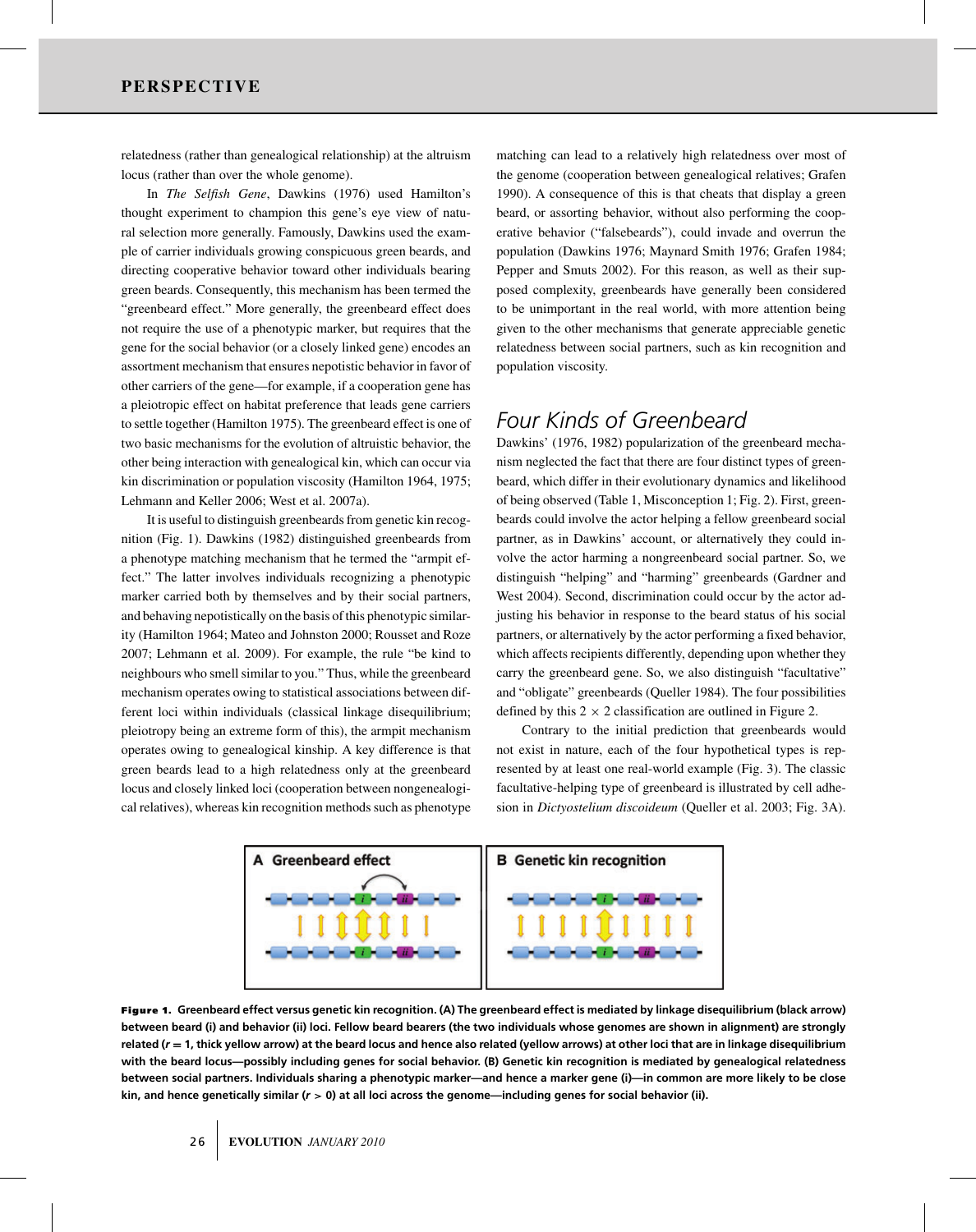relatedness (rather than genealogical relationship) at the altruism locus (rather than over the whole genome).

In *The Selfish Gene*, Dawkins (1976) used Hamilton's thought experiment to champion this gene's eye view of natural selection more generally. Famously, Dawkins used the example of carrier individuals growing conspicuous green beards, and directing cooperative behavior toward other individuals bearing green beards. Consequently, this mechanism has been termed the "greenbeard effect." More generally, the greenbeard effect does not require the use of a phenotypic marker, but requires that the gene for the social behavior (or a closely linked gene) encodes an assortment mechanism that ensures nepotistic behavior in favor of other carriers of the gene—for example, if a cooperation gene has a pleiotropic effect on habitat preference that leads gene carriers to settle together (Hamilton 1975). The greenbeard effect is one of two basic mechanisms for the evolution of altruistic behavior, the other being interaction with genealogical kin, which can occur via kin discrimination or population viscosity (Hamilton 1964, 1975; Lehmann and Keller 2006; West et al. 2007a).

It is useful to distinguish greenbeards from genetic kin recognition (Fig. 1). Dawkins (1982) distinguished greenbeards from a phenotype matching mechanism that he termed the "armpit effect." The latter involves individuals recognizing a phenotypic marker carried both by themselves and by their social partners, and behaving nepotistically on the basis of this phenotypic similarity (Hamilton 1964; Mateo and Johnston 2000; Rousset and Roze 2007; Lehmann et al. 2009). For example, the rule "be kind to neighbours who smell similar to you." Thus, while the greenbeard mechanism operates owing to statistical associations between different loci within individuals (classical linkage disequilibrium; pleiotropy being an extreme form of this), the armpit mechanism operates owing to genealogical kinship. A key difference is that green beards lead to a high relatedness only at the greenbeard locus and closely linked loci (cooperation between nongenealogical relatives), whereas kin recognition methods such as phenotype matching can lead to a relatively high relatedness over most of the genome (cooperation between genealogical relatives; Grafen 1990). A consequence of this is that cheats that display a green beard, or assorting behavior, without also performing the cooperative behavior ("falsebeards"), could invade and overrun the population (Dawkins 1976; Maynard Smith 1976; Grafen 1984; Pepper and Smuts 2002). For this reason, as well as their supposed complexity, greenbeards have generally been considered to be unimportant in the real world, with more attention being given to the other mechanisms that generate appreciable genetic relatedness between social partners, such as kin recognition and population viscosity.

### *Four Kinds of Greenbeard*

Dawkins' (1976, 1982) popularization of the greenbeard mechanism neglected the fact that there are four distinct types of greenbeard, which differ in their evolutionary dynamics and likelihood of being observed (Table 1, Misconception 1; Fig. 2). First, greenbeards could involve the actor helping a fellow greenbeard social partner, as in Dawkins' account, or alternatively they could involve the actor harming a nongreenbeard social partner. So, we distinguish "helping" and "harming" greenbeards (Gardner and West 2004). Second, discrimination could occur by the actor adjusting his behavior in response to the beard status of his social partners, or alternatively by the actor performing a fixed behavior, which affects recipients differently, depending upon whether they carry the greenbeard gene. So, we also distinguish "facultative" and "obligate" greenbeards (Queller 1984). The four possibilities defined by this  $2 \times 2$  classification are outlined in Figure 2.

Contrary to the initial prediction that greenbeards would not exist in nature, each of the four hypothetical types is represented by at least one real-world example (Fig. 3). The classic facultative-helping type of greenbeard is illustrated by cell adhesion in *Dictyostelium discoideum* (Queller et al. 2003; Fig. 3A).



Figure 1. **Greenbeard effect versus genetic kin recognition. (A) The greenbeard effect is mediated by linkage disequilibrium (black arrow) between beard (i) and behavior (ii) loci. Fellow beard bearers (the two individuals whose genomes are shown in alignment) are strongly related (***r* **= 1, thick yellow arrow) at the beard locus and hence also related (yellow arrows) at other loci that are in linkage disequilibrium with the beard locus—possibly including genes for social behavior. (B) Genetic kin recognition is mediated by genealogical relatedness between social partners. Individuals sharing a phenotypic marker—and hence a marker gene (i)—in common are more likely to be close kin, and hence genetically similar (***r* **> 0) at all loci across the genome—including genes for social behavior (ii).**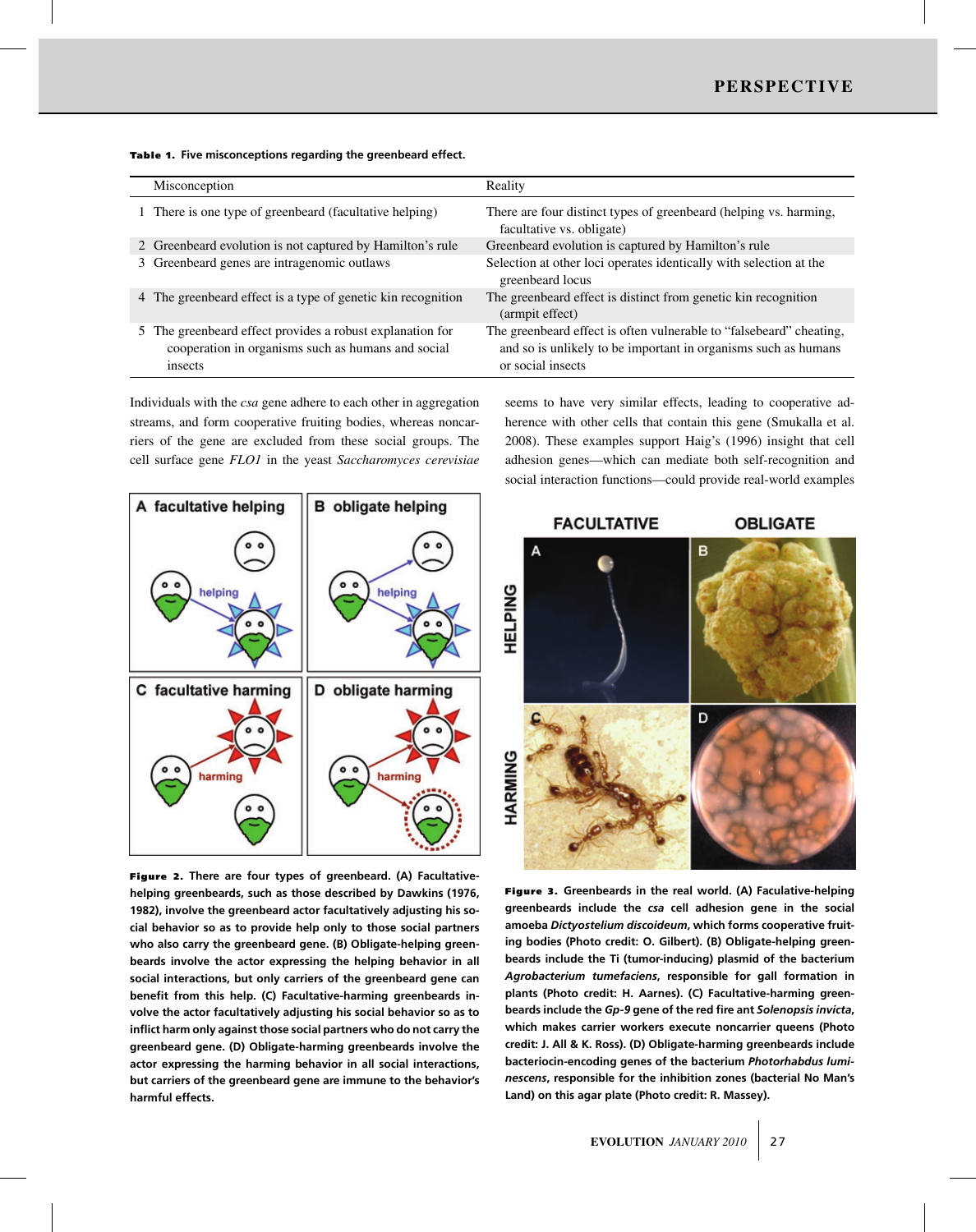| Table 1. Five misconceptions regarding the greenbeard effect. |  |  |  |
|---------------------------------------------------------------|--|--|--|
|---------------------------------------------------------------|--|--|--|

| Misconception                                                                                                              | Reality                                                                                                                                                    |
|----------------------------------------------------------------------------------------------------------------------------|------------------------------------------------------------------------------------------------------------------------------------------------------------|
| There is one type of greenbeard (facultative helping)                                                                      | There are four distinct types of greenbeard (helping vs. harming,<br>facultative vs. obligate)                                                             |
| 2 Greenbeard evolution is not captured by Hamilton's rule                                                                  | Greenbeard evolution is captured by Hamilton's rule                                                                                                        |
| 3 Greenbeard genes are intragenomic outlaws                                                                                | Selection at other loci operates identically with selection at the<br>greenbeard locus                                                                     |
| 4 The greenbeard effect is a type of genetic kin recognition                                                               | The greenbeard effect is distinct from genetic kin recognition<br>(armpit effect)                                                                          |
| 5 The greenbeard effect provides a robust explanation for<br>cooperation in organisms such as humans and social<br>insects | The greenbeard effect is often vulnerable to "falsebeard" cheating,<br>and so is unlikely to be important in organisms such as humans<br>or social insects |
|                                                                                                                            |                                                                                                                                                            |

Individuals with the *csa* gene adhere to each other in aggregation streams, and form cooperative fruiting bodies, whereas noncarriers of the gene are excluded from these social groups. The cell surface gene *FLO1* in the yeast *Saccharomyces cerevisiae*



Figure 2. **There are four types of greenbeard. (A) Facultativehelping greenbeards, such as those described by Dawkins (1976, 1982), involve the greenbeard actor facultatively adjusting his social behavior so as to provide help only to those social partners who also carry the greenbeard gene. (B) Obligate-helping greenbeards involve the actor expressing the helping behavior in all social interactions, but only carriers of the greenbeard gene can benefit from this help. (C) Facultative-harming greenbeards involve the actor facultatively adjusting his social behavior so as to inflict harm only against those social partners who do not carry the greenbeard gene. (D) Obligate-harming greenbeards involve the actor expressing the harming behavior in all social interactions, but carriers of the greenbeard gene are immune to the behavior's harmful effects.**

seems to have very similar effects, leading to cooperative adherence with other cells that contain this gene (Smukalla et al. 2008). These examples support Haig's (1996) insight that cell adhesion genes—which can mediate both self-recognition and social interaction functions—could provide real-world examples



Figure 3. **Greenbeards in the real world. (A) Faculative-helping greenbeards include the** *csa* **cell adhesion gene in the social amoeba** *Dictyostelium discoideum***, which forms cooperative fruiting bodies (Photo credit: O. Gilbert). (B) Obligate-helping greenbeards include the Ti (tumor-inducing) plasmid of the bacterium** *Agrobacterium tumefaciens***, responsible for gall formation in plants (Photo credit: H. Aarnes). (C) Facultative-harming greenbeards include the** *Gp-9* **gene of the red fire ant** *Solenopsis invicta***, which makes carrier workers execute noncarrier queens (Photo credit: J. All & K. Ross). (D) Obligate-harming greenbeards include bacteriocin-encoding genes of the bacterium** *Photorhabdus luminescens***, responsible for the inhibition zones (bacterial No Man's Land) on this agar plate (Photo credit: R. Massey).**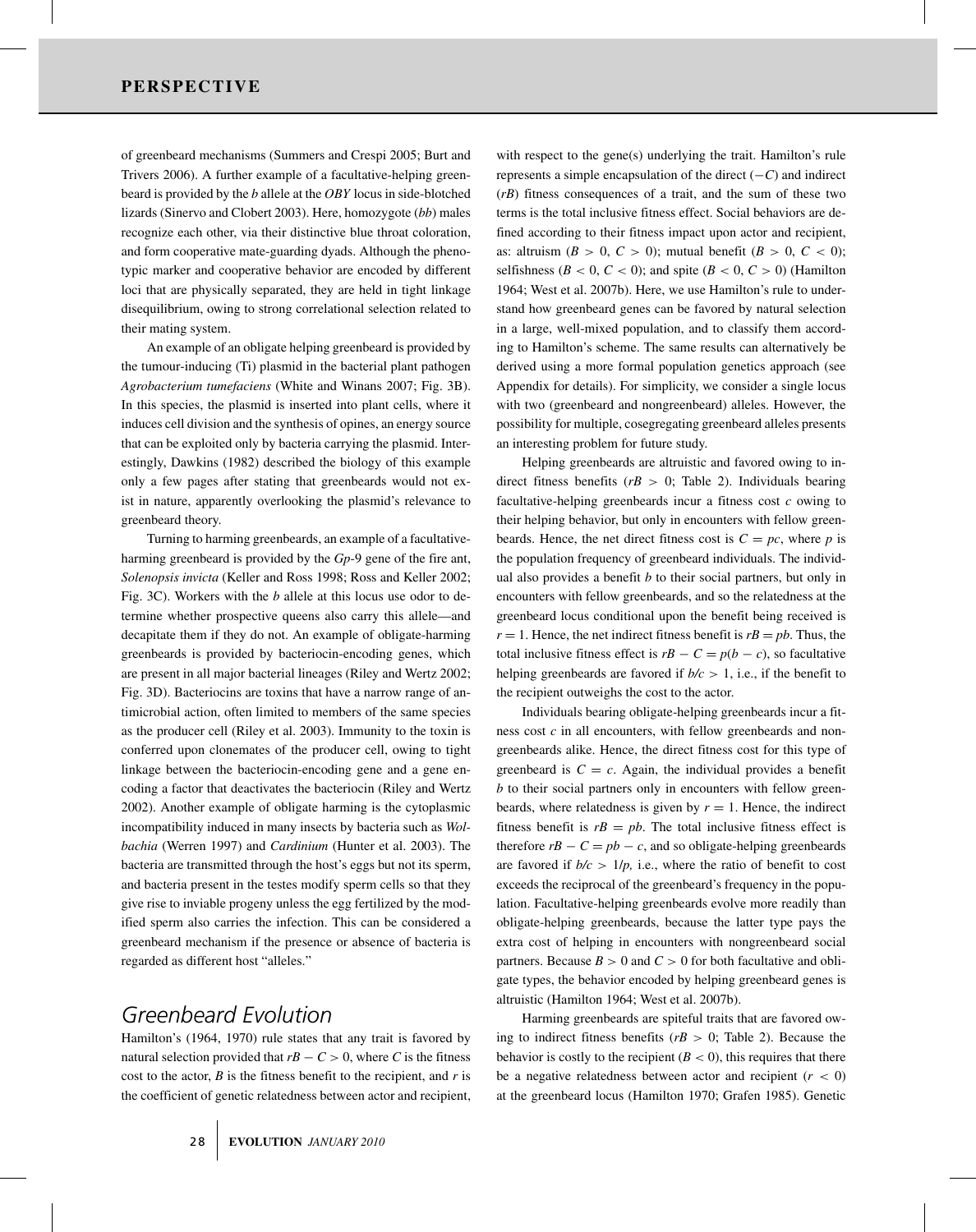of greenbeard mechanisms (Summers and Crespi 2005; Burt and Trivers 2006). A further example of a facultative-helping greenbeard is provided by the *b* allele at the *OBY* locus in side-blotched lizards (Sinervo and Clobert 2003). Here, homozygote (*bb*) males recognize each other, via their distinctive blue throat coloration, and form cooperative mate-guarding dyads. Although the phenotypic marker and cooperative behavior are encoded by different loci that are physically separated, they are held in tight linkage disequilibrium, owing to strong correlational selection related to their mating system.

An example of an obligate helping greenbeard is provided by the tumour-inducing (Ti) plasmid in the bacterial plant pathogen *Agrobacterium tumefaciens* (White and Winans 2007; Fig. 3B). In this species, the plasmid is inserted into plant cells, where it induces cell division and the synthesis of opines, an energy source that can be exploited only by bacteria carrying the plasmid. Interestingly, Dawkins (1982) described the biology of this example only a few pages after stating that greenbeards would not exist in nature, apparently overlooking the plasmid's relevance to greenbeard theory.

Turning to harming greenbeards, an example of a facultativeharming greenbeard is provided by the *Gp*-9 gene of the fire ant, *Solenopsis invicta* (Keller and Ross 1998; Ross and Keller 2002; Fig. 3C). Workers with the *b* allele at this locus use odor to determine whether prospective queens also carry this allele—and decapitate them if they do not. An example of obligate-harming greenbeards is provided by bacteriocin-encoding genes, which are present in all major bacterial lineages (Riley and Wertz 2002; Fig. 3D). Bacteriocins are toxins that have a narrow range of antimicrobial action, often limited to members of the same species as the producer cell (Riley et al. 2003). Immunity to the toxin is conferred upon clonemates of the producer cell, owing to tight linkage between the bacteriocin-encoding gene and a gene encoding a factor that deactivates the bacteriocin (Riley and Wertz 2002). Another example of obligate harming is the cytoplasmic incompatibility induced in many insects by bacteria such as *Wolbachia* (Werren 1997) and *Cardinium* (Hunter et al. 2003). The bacteria are transmitted through the host's eggs but not its sperm, and bacteria present in the testes modify sperm cells so that they give rise to inviable progeny unless the egg fertilized by the modified sperm also carries the infection. This can be considered a greenbeard mechanism if the presence or absence of bacteria is regarded as different host "alleles."

## *Greenbeard Evolution*

Hamilton's (1964, 1970) rule states that any trait is favored by natural selection provided that  $rB - C > 0$ , where *C* is the fitness cost to the actor,  $B$  is the fitness benefit to the recipient, and  $r$  is the coefficient of genetic relatedness between actor and recipient, with respect to the gene(s) underlying the trait. Hamilton's rule represents a simple encapsulation of the direct (−*C*) and indirect (*rB*) fitness consequences of a trait, and the sum of these two terms is the total inclusive fitness effect. Social behaviors are defined according to their fitness impact upon actor and recipient, as: altruism  $(B > 0, C > 0)$ ; mutual benefit  $(B > 0, C < 0)$ ; selfishness ( $B < 0$ ,  $C < 0$ ); and spite ( $B < 0$ ,  $C > 0$ ) (Hamilton 1964; West et al. 2007b). Here, we use Hamilton's rule to understand how greenbeard genes can be favored by natural selection in a large, well-mixed population, and to classify them according to Hamilton's scheme. The same results can alternatively be derived using a more formal population genetics approach (see Appendix for details). For simplicity, we consider a single locus with two (greenbeard and nongreenbeard) alleles. However, the possibility for multiple, cosegregating greenbeard alleles presents an interesting problem for future study.

Helping greenbeards are altruistic and favored owing to indirect fitness benefits  $(rB > 0;$  Table 2). Individuals bearing facultative-helping greenbeards incur a fitness cost *c* owing to their helping behavior, but only in encounters with fellow greenbeards. Hence, the net direct fitness cost is  $C = pc$ , where p is the population frequency of greenbeard individuals. The individual also provides a benefit *b* to their social partners, but only in encounters with fellow greenbeards, and so the relatedness at the greenbeard locus conditional upon the benefit being received is  $r = 1$ . Hence, the net indirect fitness benefit is  $rB = pb$ . Thus, the total inclusive fitness effect is  $rB − C = p(b − c)$ , so facultative helping greenbeards are favored if  $b/c > 1$ , i.e., if the benefit to the recipient outweighs the cost to the actor.

Individuals bearing obligate-helping greenbeards incur a fitness cost *c* in all encounters, with fellow greenbeards and nongreenbeards alike. Hence, the direct fitness cost for this type of greenbeard is  $C = c$ . Again, the individual provides a benefit *b* to their social partners only in encounters with fellow greenbeards, where relatedness is given by  $r = 1$ . Hence, the indirect fitness benefit is  $rB = pb$ . The total inclusive fitness effect is therefore  $rB - C = pb - c$ , and so obligate-helping greenbeards are favored if  $b/c > 1/p$ , i.e., where the ratio of benefit to cost exceeds the reciprocal of the greenbeard's frequency in the population. Facultative-helping greenbeards evolve more readily than obligate-helping greenbeards, because the latter type pays the extra cost of helping in encounters with nongreenbeard social partners. Because  $B > 0$  and  $C > 0$  for both facultative and obligate types, the behavior encoded by helping greenbeard genes is altruistic (Hamilton 1964; West et al. 2007b).

Harming greenbeards are spiteful traits that are favored owing to indirect fitness benefits  $(rB > 0;$  Table 2). Because the behavior is costly to the recipient  $(B < 0)$ , this requires that there be a negative relatedness between actor and recipient  $(r < 0)$ at the greenbeard locus (Hamilton 1970; Grafen 1985). Genetic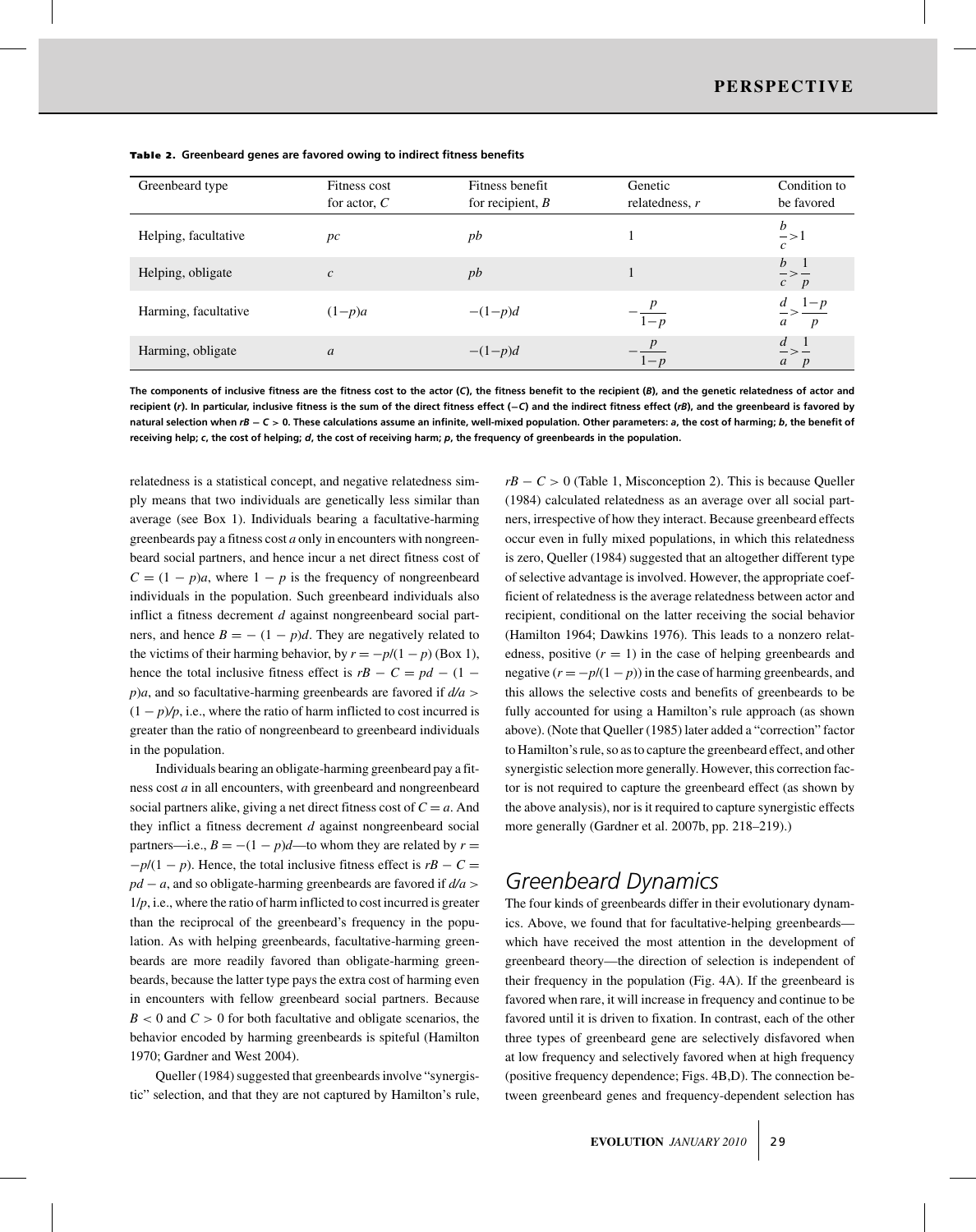| Greenbeard type      | Fitness cost<br>for actor, $C$ | Fitness benefit<br>for recipient, $B$ | Genetic<br>relatedness, $r$ | Condition to<br>be favored                               |
|----------------------|--------------------------------|---------------------------------------|-----------------------------|----------------------------------------------------------|
| Helping, facultative | pc                             | pb                                    |                             | b<br>$\sim > 1$<br>$\mathcal{C}$                         |
| Helping, obligate    | $\mathcal{C}$                  | pb                                    |                             | <sub>b</sub><br>$->-$<br>$\overline{p}$<br>$\mathcal{C}$ |
| Harming, facultative | $(1-p)a$                       | $-(1-p)d$                             | $1-p$                       | $\frac{1}{p} > \frac{1-p}{p}$<br>p<br>a                  |
| Harming, obligate    | $\mathfrak a$                  | $-(1-p)d$                             | $1-p$                       | a<br>$\boldsymbol{p}$                                    |

Table 2. Greenbeard genes are favored owing to indirect fitness benefits

**The components of inclusive fitness are the fitness cost to the actor (***C***), the fitness benefit to the recipient (***B***), and the genetic relatedness of actor and recipient (***r***). In particular, inclusive fitness is the sum of the direct fitness effect (−***C***) and the indirect fitness effect (***rB***), and the greenbeard is favored by** natural selection when  $rB - C > 0$ . These calculations assume an infinite, well-mixed population. Other parameters: a, the cost of harming; b, the benefit of **receiving help;** *c***, the cost of helping;** *d***, the cost of receiving harm;** *p***, the frequency of greenbeards in the population.**

relatedness is a statistical concept, and negative relatedness simply means that two individuals are genetically less similar than average (see Box 1). Individuals bearing a facultative-harming greenbeards pay a fitness cost *a* only in encounters with nongreenbeard social partners, and hence incur a net direct fitness cost of  $C = (1 - p)a$ , where  $1 - p$  is the frequency of nongreenbeard individuals in the population. Such greenbeard individuals also inflict a fitness decrement *d* against nongreenbeard social partners, and hence  $B = -(1 - p)d$ . They are negatively related to the victims of their harming behavior, by  $r = -p/(1 - p)$  (Box 1), hence the total inclusive fitness effect is  $rB - C = pd - (1$  $p$ )*a*, and so facultative-harming greenbeards are favored if  $d/a$  $(1 - p)/p$ , i.e., where the ratio of harm inflicted to cost incurred is greater than the ratio of nongreenbeard to greenbeard individuals in the population.

Individuals bearing an obligate-harming greenbeard pay a fitness cost *a* in all encounters, with greenbeard and nongreenbeard social partners alike, giving a net direct fitness cost of  $C = a$ . And they inflict a fitness decrement *d* against nongreenbeard social partners—i.e.,  $B = -(1 - p)d$ —to whom they are related by  $r =$  $-p/(1-p)$ . Hence, the total inclusive fitness effect is  $rB - C =$ *pd* − *a*, and so obligate-harming greenbeards are favored if  $d/a$  > 1/*p*, i.e., where the ratio of harm inflicted to cost incurred is greater than the reciprocal of the greenbeard's frequency in the population. As with helping greenbeards, facultative-harming greenbeards are more readily favored than obligate-harming greenbeards, because the latter type pays the extra cost of harming even in encounters with fellow greenbeard social partners. Because  $B < 0$  and  $C > 0$  for both facultative and obligate scenarios, the behavior encoded by harming greenbeards is spiteful (Hamilton 1970; Gardner and West 2004).

Queller (1984) suggested that greenbeards involve "synergistic" selection, and that they are not captured by Hamilton's rule,  $rB - C > 0$  (Table 1, Misconception 2). This is because Queller (1984) calculated relatedness as an average over all social partners, irrespective of how they interact. Because greenbeard effects occur even in fully mixed populations, in which this relatedness is zero, Queller (1984) suggested that an altogether different type of selective advantage is involved. However, the appropriate coefficient of relatedness is the average relatedness between actor and recipient, conditional on the latter receiving the social behavior (Hamilton 1964; Dawkins 1976). This leads to a nonzero relatedness, positive  $(r = 1)$  in the case of helping greenbeards and negative  $(r = -p/(1 - p))$  in the case of harming greenbeards, and this allows the selective costs and benefits of greenbeards to be fully accounted for using a Hamilton's rule approach (as shown above). (Note that Queller (1985) later added a "correction" factor to Hamilton's rule, so as to capture the greenbeard effect, and other synergistic selection more generally. However, this correction factor is not required to capture the greenbeard effect (as shown by the above analysis), nor is it required to capture synergistic effects more generally (Gardner et al. 2007b, pp. 218–219).)

## *Greenbeard Dynamics*

The four kinds of greenbeards differ in their evolutionary dynamics. Above, we found that for facultative-helping greenbeards which have received the most attention in the development of greenbeard theory—the direction of selection is independent of their frequency in the population (Fig. 4A). If the greenbeard is favored when rare, it will increase in frequency and continue to be favored until it is driven to fixation. In contrast, each of the other three types of greenbeard gene are selectively disfavored when at low frequency and selectively favored when at high frequency (positive frequency dependence; Figs. 4B,D). The connection between greenbeard genes and frequency-dependent selection has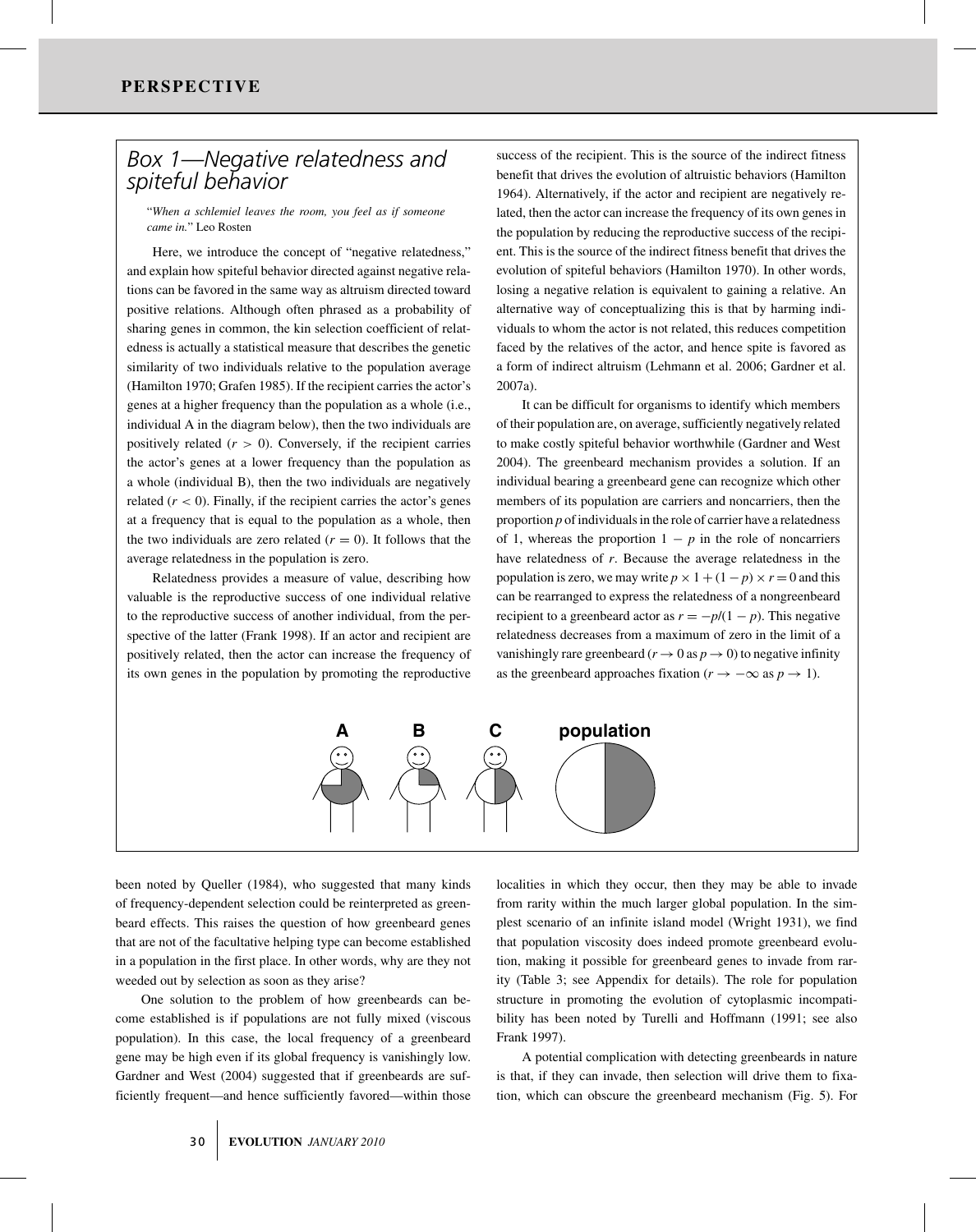# *Box 1—Negative relatedness and spiteful behavior*

"*When a schlemiel leaves the room, you feel as if someone came in.*" Leo Rosten

Here, we introduce the concept of "negative relatedness," and explain how spiteful behavior directed against negative relations can be favored in the same way as altruism directed toward positive relations. Although often phrased as a probability of sharing genes in common, the kin selection coefficient of relatedness is actually a statistical measure that describes the genetic similarity of two individuals relative to the population average (Hamilton 1970; Grafen 1985). If the recipient carries the actor's genes at a higher frequency than the population as a whole (i.e., individual A in the diagram below), then the two individuals are positively related  $(r > 0)$ . Conversely, if the recipient carries the actor's genes at a lower frequency than the population as a whole (individual B), then the two individuals are negatively related  $(r < 0)$ . Finally, if the recipient carries the actor's genes at a frequency that is equal to the population as a whole, then the two individuals are zero related  $(r = 0)$ . It follows that the average relatedness in the population is zero.

Relatedness provides a measure of value, describing how valuable is the reproductive success of one individual relative to the reproductive success of another individual, from the perspective of the latter (Frank 1998). If an actor and recipient are positively related, then the actor can increase the frequency of its own genes in the population by promoting the reproductive success of the recipient. This is the source of the indirect fitness benefit that drives the evolution of altruistic behaviors (Hamilton 1964). Alternatively, if the actor and recipient are negatively related, then the actor can increase the frequency of its own genes in the population by reducing the reproductive success of the recipient. This is the source of the indirect fitness benefit that drives the evolution of spiteful behaviors (Hamilton 1970). In other words, losing a negative relation is equivalent to gaining a relative. An alternative way of conceptualizing this is that by harming individuals to whom the actor is not related, this reduces competition faced by the relatives of the actor, and hence spite is favored as a form of indirect altruism (Lehmann et al. 2006; Gardner et al. 2007a).

It can be difficult for organisms to identify which members of their population are, on average, sufficiently negatively related to make costly spiteful behavior worthwhile (Gardner and West 2004). The greenbeard mechanism provides a solution. If an individual bearing a greenbeard gene can recognize which other members of its population are carriers and noncarriers, then the proportion *p* of individuals in the role of carrier have a relatedness of 1, whereas the proportion  $1 - p$  in the role of noncarriers have relatedness of *r*. Because the average relatedness in the population is zero, we may write  $p \times 1 + (1 - p) \times r = 0$  and this can be rearranged to express the relatedness of a nongreenbeard recipient to a greenbeard actor as  $r = -p/(1 - p)$ . This negative relatedness decreases from a maximum of zero in the limit of a vanishingly rare greenbeard ( $r \rightarrow 0$  as  $p \rightarrow 0$ ) to negative infinity as the greenbeard approaches fixation ( $r \to -\infty$  as  $p \to 1$ ).



been noted by Queller (1984), who suggested that many kinds of frequency-dependent selection could be reinterpreted as greenbeard effects. This raises the question of how greenbeard genes that are not of the facultative helping type can become established in a population in the first place. In other words, why are they not weeded out by selection as soon as they arise?

One solution to the problem of how greenbeards can become established is if populations are not fully mixed (viscous population). In this case, the local frequency of a greenbeard gene may be high even if its global frequency is vanishingly low. Gardner and West (2004) suggested that if greenbeards are sufficiently frequent—and hence sufficiently favored—within those localities in which they occur, then they may be able to invade from rarity within the much larger global population. In the simplest scenario of an infinite island model (Wright 1931), we find that population viscosity does indeed promote greenbeard evolution, making it possible for greenbeard genes to invade from rarity (Table 3; see Appendix for details). The role for population structure in promoting the evolution of cytoplasmic incompatibility has been noted by Turelli and Hoffmann (1991; see also Frank 1997).

A potential complication with detecting greenbeards in nature is that, if they can invade, then selection will drive them to fixation, which can obscure the greenbeard mechanism (Fig. 5). For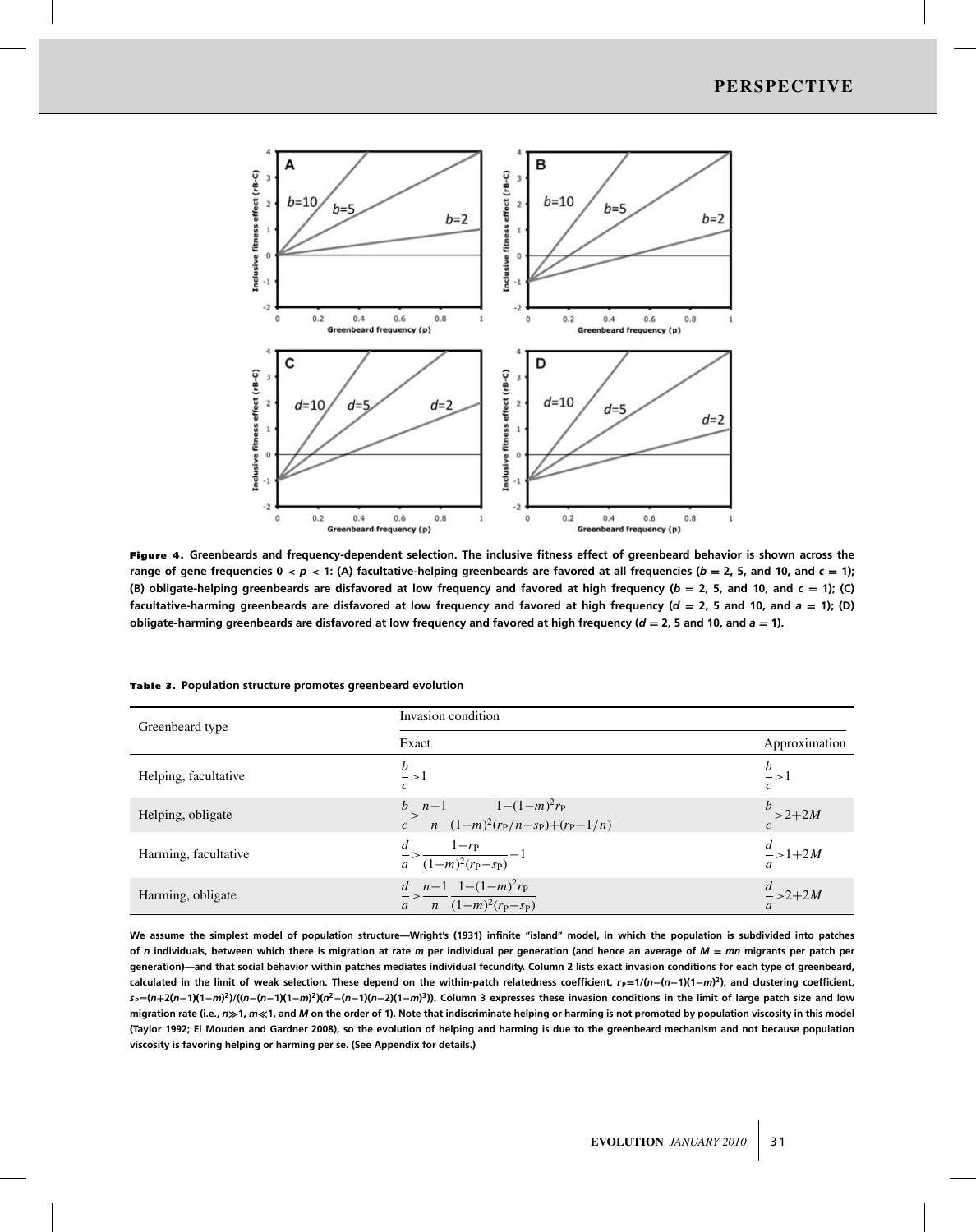

Figure 4. **Greenbeards and frequency-dependent selection. The inclusive fitness effect of greenbeard behavior is shown across the** range of gene frequencies  $0 < p < 1$ : (A) facultative-helping greenbeards are favored at all frequencies ( $b = 2$ , 5, and 10, and  $c = 1$ ); (B) obligate-helping greenbeards are disfavored at low frequency and favored at high frequency ( $b = 2$ , 5, and 10, and  $c = 1$ ); (C) facultative-harming greenbeards are disfavored at low frequency and favored at high frequency ( $d = 2$ , 5 and 10, and  $a = 1$ ); (D) **obligate-harming greenbeards are disfavored at low frequency and favored at high frequency (** $d = 2$ **, 5 and 10, and**  $a = 1$ **).** 

| Table 3. Population structure promotes greenbeard evolution |  |  |  |
|-------------------------------------------------------------|--|--|--|
|-------------------------------------------------------------|--|--|--|

| Greenbeard type      | Invasion condition                                                                      |                                    |  |
|----------------------|-----------------------------------------------------------------------------------------|------------------------------------|--|
|                      | Exact                                                                                   | Approximation                      |  |
| Helping, facultative | $\frac{b}{-} > 1$<br>C                                                                  | $\frac{b}{-} > 1$<br>$\mathcal{C}$ |  |
| Helping, obligate    | $\frac{b}{c} > \frac{n-1}{n} \frac{1-(1-m)^2r_P}{(1-m)^2(r_P/n-s_P)+(r_P-1/n)}$         | $b$ <sub>-&gt;2+2M</sub>           |  |
| Harming, facultative | $\frac{d}{a} > \frac{1-r_{\rm P}}{(1-m)^2(r_{\rm P}-s_{\rm P})} - 1$                    | $\frac{d}{2}$ > 1+2 <i>M</i>       |  |
| Harming, obligate    | $\frac{d}{a} > \frac{n-1}{n} \frac{1-(1-m)^2 r_{\rm P}}{(1-m)^2 (r_{\rm P}-s_{\rm P})}$ | $\frac{d}{2} > 2 + 2M$<br>a        |  |

**We assume the simplest model of population structure—Wright's (1931) infinite "island" model, in which the population is subdivided into patches of** *n* **individuals, between which there is migration at rate** *m* **per individual per generation (and hence an average of** *M* **=** *mn* **migrants per patch per generation)—and that social behavior within patches mediates individual fecundity. Column 2 lists exact invasion conditions for each type of greenbeard,** calculated in the limit of weak selection. These depend on the within-patch relatedness coefficient,  $r_P=1/(n-(n-1)(1-m)^2)$ , and clustering coefficient,  $s_P = (n+2(n-1)(1-m)^2)/((n-(n-1)(1-m)^2)(n^2-(n-1)(n-2)(1-m)^3))$ . Column 3 expresses these invasion conditions in the limit of large patch size and low **migration rate (i.e.,** *n***-1,** *m***1, and** *M* **on the order of 1). Note that indiscriminate helping or harming is not promoted by population viscosity in this model (Taylor 1992; El Mouden and Gardner 2008), so the evolution of helping and harming is due to the greenbeard mechanism and not because population viscosity is favoring helping or harming per se. (See Appendix for details.)**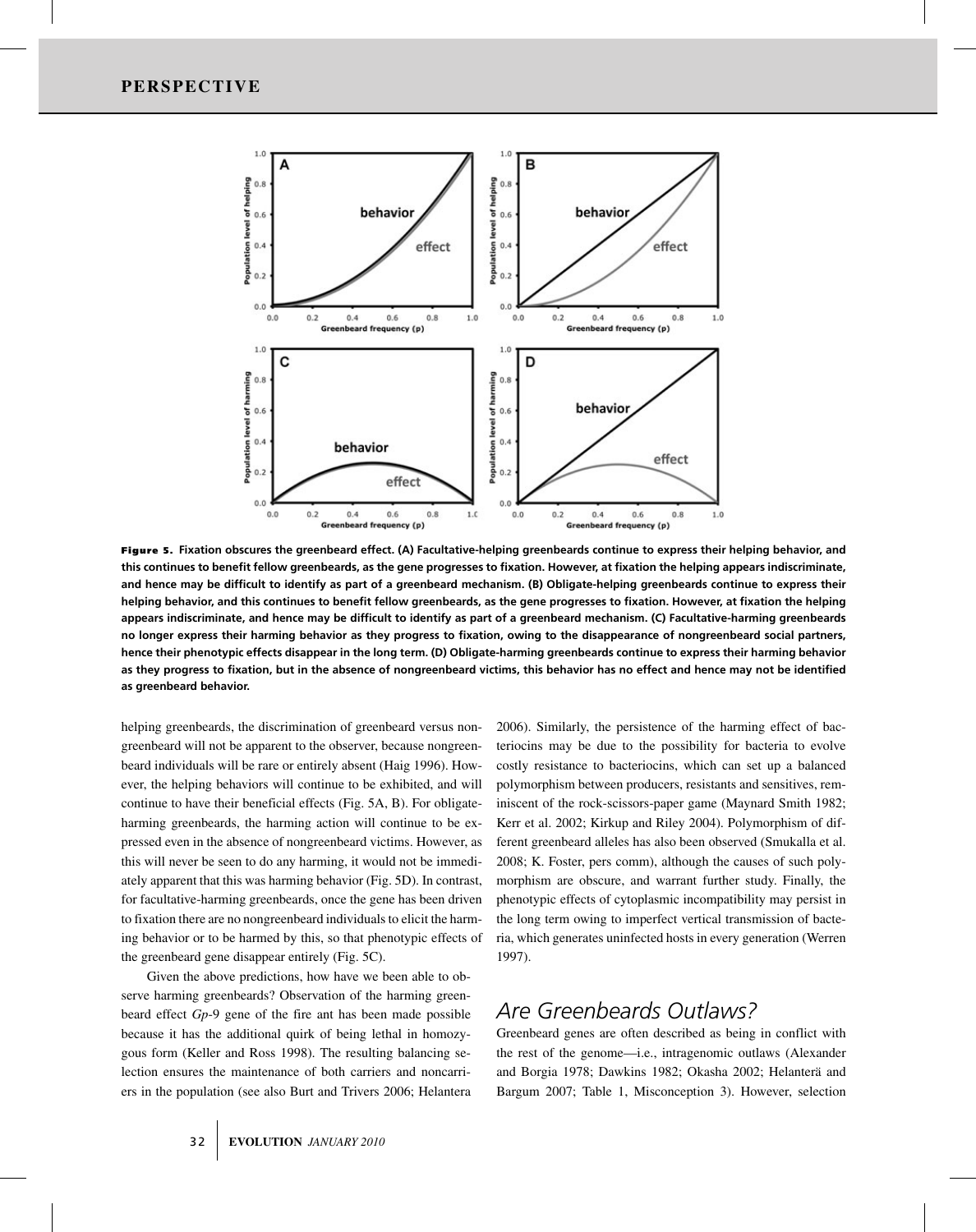

Figure 5. **Fixation obscures the greenbeard effect. (A) Facultative-helping greenbeards continue to express their helping behavior, and this continues to benefit fellow greenbeards, as the gene progresses to fixation. However, at fixation the helping appears indiscriminate, and hence may be difficult to identify as part of a greenbeard mechanism. (B) Obligate-helping greenbeards continue to express their helping behavior, and this continues to benefit fellow greenbeards, as the gene progresses to fixation. However, at fixation the helping appears indiscriminate, and hence may be difficult to identify as part of a greenbeard mechanism. (C) Facultative-harming greenbeards no longer express their harming behavior as they progress to fixation, owing to the disappearance of nongreenbeard social partners, hence their phenotypic effects disappear in the long term. (D) Obligate-harming greenbeards continue to express their harming behavior as they progress to fixation, but in the absence of nongreenbeard victims, this behavior has no effect and hence may not be identified as greenbeard behavior.**

helping greenbeards, the discrimination of greenbeard versus nongreenbeard will not be apparent to the observer, because nongreenbeard individuals will be rare or entirely absent (Haig 1996). However, the helping behaviors will continue to be exhibited, and will continue to have their beneficial effects (Fig. 5A, B). For obligateharming greenbeards, the harming action will continue to be expressed even in the absence of nongreenbeard victims. However, as this will never be seen to do any harming, it would not be immediately apparent that this was harming behavior (Fig. 5D). In contrast, for facultative-harming greenbeards, once the gene has been driven to fixation there are no nongreenbeard individuals to elicit the harming behavior or to be harmed by this, so that phenotypic effects of the greenbeard gene disappear entirely (Fig. 5C).

Given the above predictions, how have we been able to observe harming greenbeards? Observation of the harming greenbeard effect *Gp*-9 gene of the fire ant has been made possible because it has the additional quirk of being lethal in homozygous form (Keller and Ross 1998). The resulting balancing selection ensures the maintenance of both carriers and noncarriers in the population (see also Burt and Trivers 2006; Helantera 2006). Similarly, the persistence of the harming effect of bacteriocins may be due to the possibility for bacteria to evolve costly resistance to bacteriocins, which can set up a balanced polymorphism between producers, resistants and sensitives, reminiscent of the rock-scissors-paper game (Maynard Smith 1982; Kerr et al. 2002; Kirkup and Riley 2004). Polymorphism of different greenbeard alleles has also been observed (Smukalla et al. 2008; K. Foster, pers comm), although the causes of such polymorphism are obscure, and warrant further study. Finally, the phenotypic effects of cytoplasmic incompatibility may persist in the long term owing to imperfect vertical transmission of bacteria, which generates uninfected hosts in every generation (Werren 1997).

# *Are Greenbeards Outlaws?*

Greenbeard genes are often described as being in conflict with the rest of the genome—i.e., intragenomic outlaws (Alexander and Borgia 1978; Dawkins 1982; Okasha 2002; Helanterä and Bargum 2007; Table 1, Misconception 3). However, selection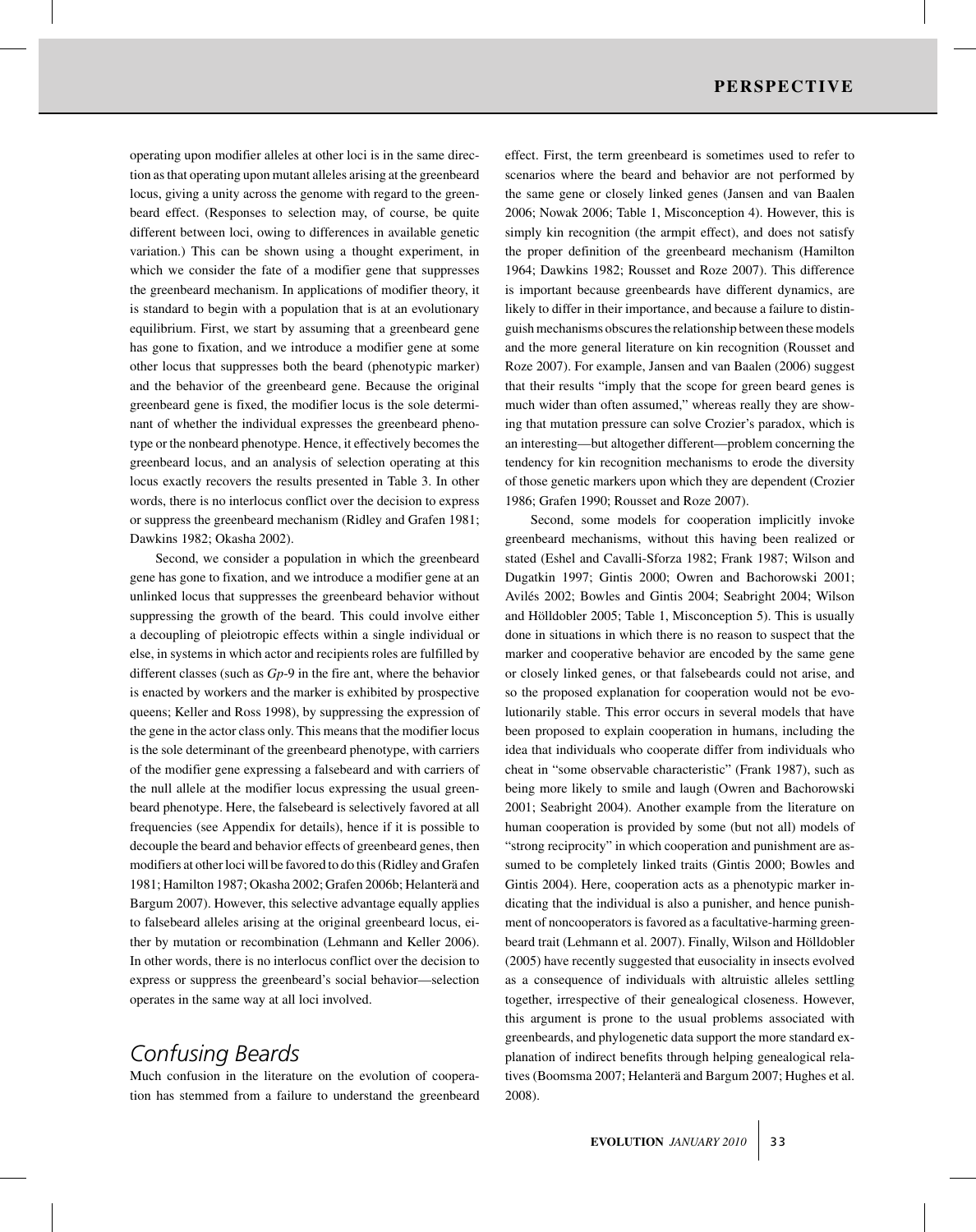operating upon modifier alleles at other loci is in the same direction as that operating upon mutant alleles arising at the greenbeard locus, giving a unity across the genome with regard to the greenbeard effect. (Responses to selection may, of course, be quite different between loci, owing to differences in available genetic variation.) This can be shown using a thought experiment, in which we consider the fate of a modifier gene that suppresses the greenbeard mechanism. In applications of modifier theory, it is standard to begin with a population that is at an evolutionary equilibrium. First, we start by assuming that a greenbeard gene has gone to fixation, and we introduce a modifier gene at some other locus that suppresses both the beard (phenotypic marker) and the behavior of the greenbeard gene. Because the original greenbeard gene is fixed, the modifier locus is the sole determinant of whether the individual expresses the greenbeard phenotype or the nonbeard phenotype. Hence, it effectively becomes the greenbeard locus, and an analysis of selection operating at this locus exactly recovers the results presented in Table 3. In other words, there is no interlocus conflict over the decision to express or suppress the greenbeard mechanism (Ridley and Grafen 1981; Dawkins 1982; Okasha 2002).

Second, we consider a population in which the greenbeard gene has gone to fixation, and we introduce a modifier gene at an unlinked locus that suppresses the greenbeard behavior without suppressing the growth of the beard. This could involve either a decoupling of pleiotropic effects within a single individual or else, in systems in which actor and recipients roles are fulfilled by different classes (such as *Gp*-9 in the fire ant, where the behavior is enacted by workers and the marker is exhibited by prospective queens; Keller and Ross 1998), by suppressing the expression of the gene in the actor class only. This means that the modifier locus is the sole determinant of the greenbeard phenotype, with carriers of the modifier gene expressing a falsebeard and with carriers of the null allele at the modifier locus expressing the usual greenbeard phenotype. Here, the falsebeard is selectively favored at all frequencies (see Appendix for details), hence if it is possible to decouple the beard and behavior effects of greenbeard genes, then modifiers at other loci will be favored to do this (Ridley and Grafen 1981; Hamilton 1987; Okasha 2002; Grafen 2006b; Helantera and ¨ Bargum 2007). However, this selective advantage equally applies to falsebeard alleles arising at the original greenbeard locus, either by mutation or recombination (Lehmann and Keller 2006). In other words, there is no interlocus conflict over the decision to express or suppress the greenbeard's social behavior—selection operates in the same way at all loci involved.

# *Confusing Beards*

Much confusion in the literature on the evolution of cooperation has stemmed from a failure to understand the greenbeard effect. First, the term greenbeard is sometimes used to refer to scenarios where the beard and behavior are not performed by the same gene or closely linked genes (Jansen and van Baalen 2006; Nowak 2006; Table 1, Misconception 4). However, this is simply kin recognition (the armpit effect), and does not satisfy the proper definition of the greenbeard mechanism (Hamilton 1964; Dawkins 1982; Rousset and Roze 2007). This difference is important because greenbeards have different dynamics, are likely to differ in their importance, and because a failure to distinguish mechanisms obscures the relationship between these models and the more general literature on kin recognition (Rousset and Roze 2007). For example, Jansen and van Baalen (2006) suggest that their results "imply that the scope for green beard genes is much wider than often assumed," whereas really they are showing that mutation pressure can solve Crozier's paradox, which is an interesting—but altogether different—problem concerning the tendency for kin recognition mechanisms to erode the diversity of those genetic markers upon which they are dependent (Crozier 1986; Grafen 1990; Rousset and Roze 2007).

Second, some models for cooperation implicitly invoke greenbeard mechanisms, without this having been realized or stated (Eshel and Cavalli-Sforza 1982; Frank 1987; Wilson and Dugatkin 1997; Gintis 2000; Owren and Bachorowski 2001; Avilés 2002; Bowles and Gintis 2004; Seabright 2004; Wilson and Hölldobler 2005; Table 1, Misconception 5). This is usually done in situations in which there is no reason to suspect that the marker and cooperative behavior are encoded by the same gene or closely linked genes, or that falsebeards could not arise, and so the proposed explanation for cooperation would not be evolutionarily stable. This error occurs in several models that have been proposed to explain cooperation in humans, including the idea that individuals who cooperate differ from individuals who cheat in "some observable characteristic" (Frank 1987), such as being more likely to smile and laugh (Owren and Bachorowski 2001; Seabright 2004). Another example from the literature on human cooperation is provided by some (but not all) models of "strong reciprocity" in which cooperation and punishment are assumed to be completely linked traits (Gintis 2000; Bowles and Gintis 2004). Here, cooperation acts as a phenotypic marker indicating that the individual is also a punisher, and hence punishment of noncooperators is favored as a facultative-harming greenbeard trait (Lehmann et al. 2007). Finally, Wilson and Hölldobler (2005) have recently suggested that eusociality in insects evolved as a consequence of individuals with altruistic alleles settling together, irrespective of their genealogical closeness. However, this argument is prone to the usual problems associated with greenbeards, and phylogenetic data support the more standard explanation of indirect benefits through helping genealogical relatives (Boomsma 2007; Helanterä and Bargum 2007; Hughes et al. 2008).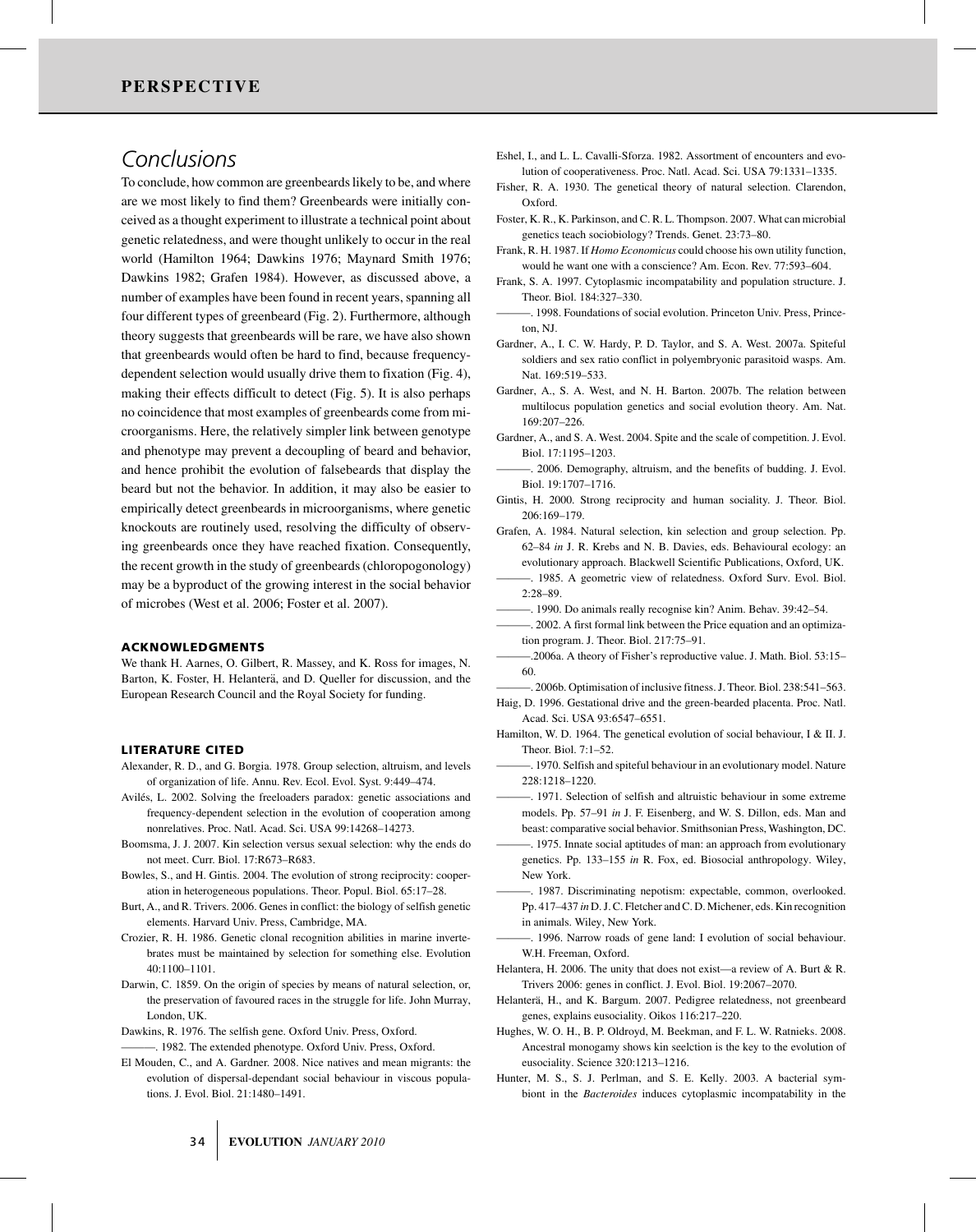# *Conclusions*

To conclude, how common are greenbeards likely to be, and where are we most likely to find them? Greenbeards were initially conceived as a thought experiment to illustrate a technical point about genetic relatedness, and were thought unlikely to occur in the real world (Hamilton 1964; Dawkins 1976; Maynard Smith 1976; Dawkins 1982; Grafen 1984). However, as discussed above, a number of examples have been found in recent years, spanning all four different types of greenbeard (Fig. 2). Furthermore, although theory suggests that greenbeards will be rare, we have also shown that greenbeards would often be hard to find, because frequencydependent selection would usually drive them to fixation (Fig. 4), making their effects difficult to detect (Fig. 5). It is also perhaps no coincidence that most examples of greenbeards come from microorganisms. Here, the relatively simpler link between genotype and phenotype may prevent a decoupling of beard and behavior, and hence prohibit the evolution of falsebeards that display the beard but not the behavior. In addition, it may also be easier to empirically detect greenbeards in microorganisms, where genetic knockouts are routinely used, resolving the difficulty of observing greenbeards once they have reached fixation. Consequently, the recent growth in the study of greenbeards (chloropogonology) may be a byproduct of the growing interest in the social behavior of microbes (West et al. 2006; Foster et al. 2007).

#### ACKNOWLEDGMENTS

We thank H. Aarnes, O. Gilbert, R. Massey, and K. Ross for images, N. Barton, K. Foster, H. Helanterä, and D. Queller for discussion, and the European Research Council and the Royal Society for funding.

#### LITERATURE CITED

- Alexander, R. D., and G. Borgia. 1978. Group selection, altruism, and levels of organization of life. Annu. Rev. Ecol. Evol. Syst. 9:449–474.
- Avilés, L. 2002. Solving the freeloaders paradox: genetic associations and frequency-dependent selection in the evolution of cooperation among nonrelatives. Proc. Natl. Acad. Sci. USA 99:14268–14273.
- Boomsma, J. J. 2007. Kin selection versus sexual selection: why the ends do not meet. Curr. Biol. 17:R673–R683.
- Bowles, S., and H. Gintis. 2004. The evolution of strong reciprocity: cooperation in heterogeneous populations. Theor. Popul. Biol. 65:17–28.
- Burt, A., and R. Trivers. 2006. Genes in conflict: the biology of selfish genetic elements. Harvard Univ. Press, Cambridge, MA.
- Crozier, R. H. 1986. Genetic clonal recognition abilities in marine invertebrates must be maintained by selection for something else. Evolution 40:1100–1101.
- Darwin, C. 1859. On the origin of species by means of natural selection, or, the preservation of favoured races in the struggle for life. John Murray, London, UK.
- Dawkins, R. 1976. The selfish gene. Oxford Univ. Press, Oxford.
- ———. 1982. The extended phenotype. Oxford Univ. Press, Oxford.
- El Mouden, C., and A. Gardner. 2008. Nice natives and mean migrants: the evolution of dispersal-dependant social behaviour in viscous populations. J. Evol. Biol. 21:1480–1491.
- Eshel, I., and L. L. Cavalli-Sforza. 1982. Assortment of encounters and evolution of cooperativeness. Proc. Natl. Acad. Sci. USA 79:1331–1335.
- Fisher, R. A. 1930. The genetical theory of natural selection. Clarendon, Oxford.
- Foster, K. R., K. Parkinson, and C. R. L. Thompson. 2007. What can microbial genetics teach sociobiology? Trends. Genet. 23:73–80.
- Frank, R. H. 1987. If *Homo Economicus* could choose his own utility function, would he want one with a conscience? Am. Econ. Rev. 77:593–604.
- Frank, S. A. 1997. Cytoplasmic incompatability and population structure. J. Theor. Biol. 184:327–330.
- ———. 1998. Foundations of social evolution. Princeton Univ. Press, Princeton, NJ.
- Gardner, A., I. C. W. Hardy, P. D. Taylor, and S. A. West. 2007a. Spiteful soldiers and sex ratio conflict in polyembryonic parasitoid wasps. Am. Nat. 169:519–533.
- Gardner, A., S. A. West, and N. H. Barton. 2007b. The relation between multilocus population genetics and social evolution theory. Am. Nat. 169:207–226.
- Gardner, A., and S. A. West. 2004. Spite and the scale of competition. J. Evol. Biol. 17:1195–1203.
- -. 2006. Demography, altruism, and the benefits of budding. J. Evol. Biol. 19:1707–1716.
- Gintis, H. 2000. Strong reciprocity and human sociality. J. Theor. Biol. 206:169–179.
- Grafen, A. 1984. Natural selection, kin selection and group selection. Pp. 62–84 *in* J. R. Krebs and N. B. Davies, eds. Behavioural ecology: an evolutionary approach. Blackwell Scientific Publications, Oxford, UK.
- ———. 1985. A geometric view of relatedness. Oxford Surv. Evol. Biol. 2:28–89.
- ———. 1990. Do animals really recognise kin? Anim. Behav. 39:42–54.
- ———. 2002. A first formal link between the Price equation and an optimization program. J. Theor. Biol. 217:75–91.
- ———.2006a. A theory of Fisher's reproductive value. J. Math. Biol. 53:15– 60.
- ———. 2006b. Optimisation of inclusive fitness. J. Theor. Biol. 238:541–563.
- Haig, D. 1996. Gestational drive and the green-bearded placenta. Proc. Natl. Acad. Sci. USA 93:6547–6551.
- Hamilton, W. D. 1964. The genetical evolution of social behaviour, I & II. J. Theor. Biol. 7:1–52.
- ———. 1970. Selfish and spiteful behaviour in an evolutionary model. Nature 228:1218–1220.
- ———. 1971. Selection of selfish and altruistic behaviour in some extreme models. Pp. 57–91 *in* J. F. Eisenberg, and W. S. Dillon, eds. Man and beast: comparative social behavior. Smithsonian Press, Washington, DC.
- -. 1975. Innate social aptitudes of man: an approach from evolutionary genetics. Pp. 133–155 *in* R. Fox, ed. Biosocial anthropology. Wiley, New York.
- ———. 1987. Discriminating nepotism: expectable, common, overlooked. Pp. 417–437 *in* D. J. C. Fletcher and C. D. Michener, eds. Kin recognition in animals. Wiley, New York.
- ———. 1996. Narrow roads of gene land: I evolution of social behaviour. W.H. Freeman, Oxford.
- Helantera, H. 2006. The unity that does not exist—a review of A. Burt & R. Trivers 2006: genes in conflict. J. Evol. Biol. 19:2067–2070.
- Helanterä, H., and K. Bargum. 2007. Pedigree relatedness, not greenbeard genes, explains eusociality. Oikos 116:217–220.
- Hughes, W. O. H., B. P. Oldroyd, M. Beekman, and F. L. W. Ratnieks. 2008. Ancestral monogamy shows kin seelction is the key to the evolution of eusociality. Science 320:1213–1216.
- Hunter, M. S., S. J. Perlman, and S. E. Kelly. 2003. A bacterial symbiont in the *Bacteroides* induces cytoplasmic incompatability in the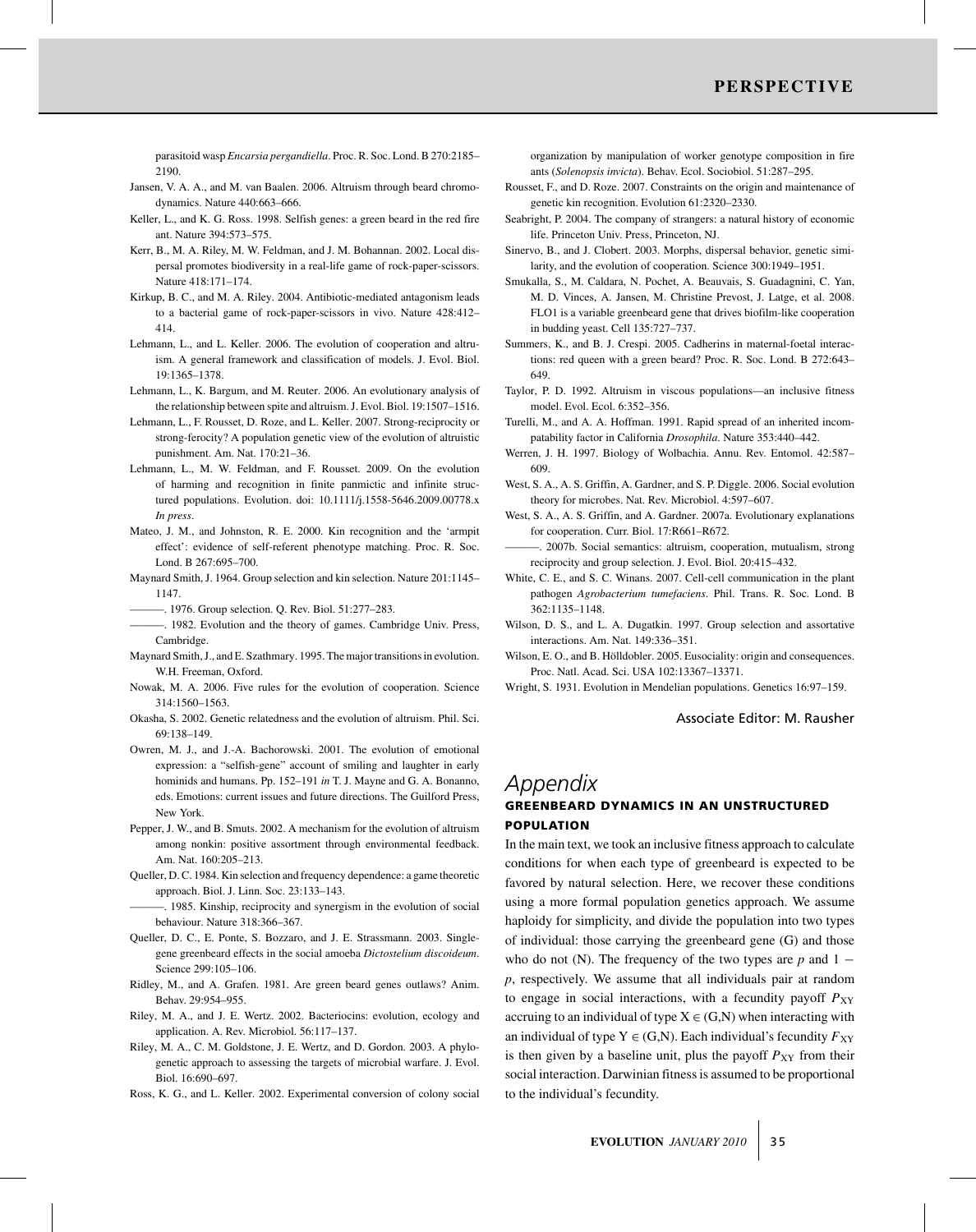parasitoid wasp *Encarsia pergandiella*. Proc. R. Soc. Lond. B 270:2185– 2190.

- Jansen, V. A. A., and M. van Baalen. 2006. Altruism through beard chromodynamics. Nature 440:663–666.
- Keller, L., and K. G. Ross. 1998. Selfish genes: a green beard in the red fire ant. Nature 394:573–575.
- Kerr, B., M. A. Riley, M. W. Feldman, and J. M. Bohannan. 2002. Local dispersal promotes biodiversity in a real-life game of rock-paper-scissors. Nature 418:171–174.
- Kirkup, B. C., and M. A. Riley. 2004. Antibiotic-mediated antagonism leads to a bacterial game of rock-paper-scissors in vivo. Nature 428:412– 414.
- Lehmann, L., and L. Keller. 2006. The evolution of cooperation and altruism. A general framework and classification of models. J. Evol. Biol. 19:1365–1378.
- Lehmann, L., K. Bargum, and M. Reuter. 2006. An evolutionary analysis of the relationship between spite and altruism. J. Evol. Biol. 19:1507–1516.
- Lehmann, L., F. Rousset, D. Roze, and L. Keller. 2007. Strong-reciprocity or strong-ferocity? A population genetic view of the evolution of altruistic punishment. Am. Nat. 170:21–36.
- Lehmann, L., M. W. Feldman, and F. Rousset. 2009. On the evolution of harming and recognition in finite panmictic and infinite structured populations. Evolution. doi: 10.1111/j.1558-5646.2009.00778.x *In press*.
- Mateo, J. M., and Johnston, R. E. 2000. Kin recognition and the 'armpit effect': evidence of self-referent phenotype matching. Proc. R. Soc. Lond. B 267:695–700.
- Maynard Smith, J. 1964. Group selection and kin selection. Nature 201:1145– 1147.
- ———. 1976. Group selection. Q. Rev. Biol. 51:277–283.
- ———. 1982. Evolution and the theory of games. Cambridge Univ. Press, Cambridge.
- Maynard Smith, J., and E. Szathmary. 1995. The major transitions in evolution. W.H. Freeman, Oxford.
- Nowak, M. A. 2006. Five rules for the evolution of cooperation. Science 314:1560–1563.
- Okasha, S. 2002. Genetic relatedness and the evolution of altruism. Phil. Sci. 69:138–149.
- Owren, M. J., and J.-A. Bachorowski. 2001. The evolution of emotional expression: a "selfish-gene" account of smiling and laughter in early hominids and humans. Pp. 152–191 *in* T. J. Mayne and G. A. Bonanno, eds. Emotions: current issues and future directions. The Guilford Press, New York.
- Pepper, J. W., and B. Smuts. 2002. A mechanism for the evolution of altruism among nonkin: positive assortment through environmental feedback. Am. Nat. 160:205–213.
- Queller, D. C. 1984. Kin selection and frequency dependence: a game theoretic approach. Biol. J. Linn. Soc. 23:133–143.
- ———. 1985. Kinship, reciprocity and synergism in the evolution of social behaviour. Nature 318:366–367.
- Queller, D. C., E. Ponte, S. Bozzaro, and J. E. Strassmann. 2003. Singlegene greenbeard effects in the social amoeba *Dictostelium discoideum*. Science 299:105–106.
- Ridley, M., and A. Grafen. 1981. Are green beard genes outlaws? Anim. Behav. 29:954–955.
- Riley, M. A., and J. E. Wertz. 2002. Bacteriocins: evolution, ecology and application. A. Rev. Microbiol. 56:117–137.
- Riley, M. A., C. M. Goldstone, J. E. Wertz, and D. Gordon. 2003. A phylogenetic approach to assessing the targets of microbial warfare. J. Evol. Biol. 16:690–697.
- Ross, K. G., and L. Keller. 2002. Experimental conversion of colony social

organization by manipulation of worker genotype composition in fire ants (*Solenopsis invicta*). Behav. Ecol. Sociobiol. 51:287–295.

- Rousset, F., and D. Roze. 2007. Constraints on the origin and maintenance of genetic kin recognition. Evolution 61:2320–2330.
- Seabright, P. 2004. The company of strangers: a natural history of economic life. Princeton Univ. Press, Princeton, NJ.
- Sinervo, B., and J. Clobert. 2003. Morphs, dispersal behavior, genetic similarity, and the evolution of cooperation. Science 300:1949–1951.
- Smukalla, S., M. Caldara, N. Pochet, A. Beauvais, S. Guadagnini, C. Yan, M. D. Vinces, A. Jansen, M. Christine Prevost, J. Latge, et al. 2008. FLO1 is a variable greenbeard gene that drives biofilm-like cooperation in budding yeast. Cell 135:727–737.
- Summers, K., and B. J. Crespi. 2005. Cadherins in maternal-foetal interactions: red queen with a green beard? Proc. R. Soc. Lond. B 272:643– 649.
- Taylor, P. D. 1992. Altruism in viscous populations—an inclusive fitness model. Evol. Ecol. 6:352–356.
- Turelli, M., and A. A. Hoffman. 1991. Rapid spread of an inherited incompatability factor in California *Drosophila*. Nature 353:440–442.
- Werren, J. H. 1997. Biology of Wolbachia. Annu. Rev. Entomol. 42:587– 609.
- West, S. A., A. S. Griffin, A. Gardner, and S. P. Diggle. 2006. Social evolution theory for microbes. Nat. Rev. Microbiol. 4:597–607.
- West, S. A., A. S. Griffin, and A. Gardner. 2007a. Evolutionary explanations for cooperation. Curr. Biol. 17:R661–R672.
- ———. 2007b. Social semantics: altruism, cooperation, mutualism, strong reciprocity and group selection. J. Evol. Biol. 20:415–432.
- White, C. E., and S. C. Winans. 2007. Cell-cell communication in the plant pathogen *Agrobacterium tumefaciens*. Phil. Trans. R. Soc. Lond. B 362:1135–1148.
- Wilson, D. S., and L. A. Dugatkin. 1997. Group selection and assortative interactions. Am. Nat. 149:336–351.
- Wilson, E. O., and B. Hölldobler. 2005. Eusociality: origin and consequences. Proc. Natl. Acad. Sci. USA 102:13367–13371.
- Wright, S. 1931. Evolution in Mendelian populations. Genetics 16:97–159.

#### Associate Editor: M. Rausher

# *Appendix*

#### GREENBEARD DYNAMICS IN AN UNSTRUCTURED POPULATION

In the main text, we took an inclusive fitness approach to calculate conditions for when each type of greenbeard is expected to be favored by natural selection. Here, we recover these conditions using a more formal population genetics approach. We assume haploidy for simplicity, and divide the population into two types of individual: those carrying the greenbeard gene (G) and those who do not (N). The frequency of the two types are  $p$  and  $1$ *p*, respectively. We assume that all individuals pair at random to engage in social interactions, with a fecundity payoff  $P_{XY}$ accruing to an individual of type  $X \in (G, N)$  when interacting with an individual of type  $Y \in (G,N)$ . Each individual's fecundity  $F_{XY}$ is then given by a baseline unit, plus the payoff  $P_{XY}$  from their social interaction. Darwinian fitness is assumed to be proportional to the individual's fecundity.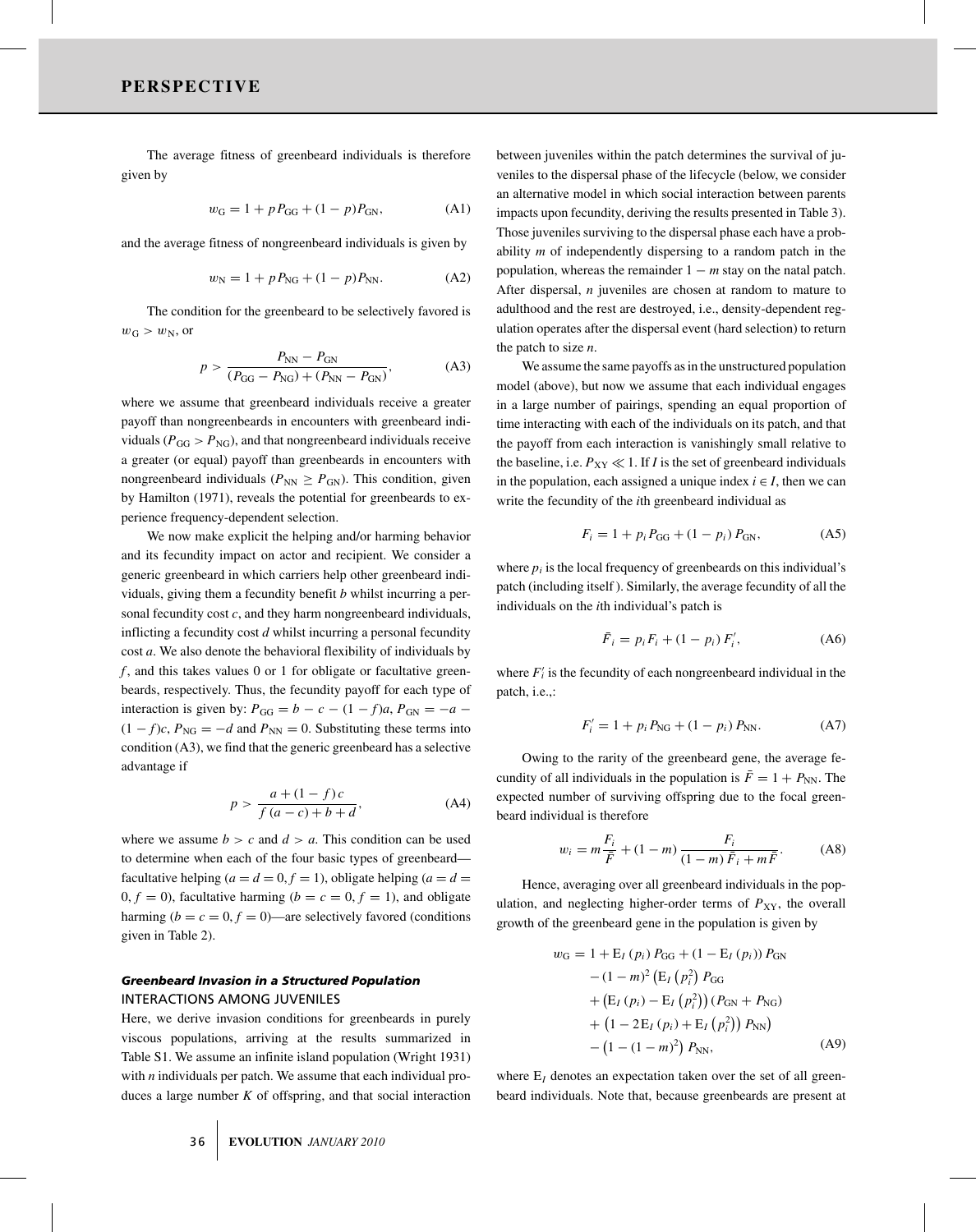The average fitness of greenbeard individuals is therefore given by

$$
w_G = 1 + pP_{GG} + (1 - p)P_{GN},
$$
 (A1)

and the average fitness of nongreenbeard individuals is given by

$$
w_N = 1 + p P_{NG} + (1 - p) P_{NN}.
$$
 (A2)

The condition for the greenbeard to be selectively favored is  $w_G > w_N$ , or

$$
p > \frac{P_{\rm NN} - P_{\rm GN}}{(P_{\rm GG} - P_{\rm NG}) + (P_{\rm NN} - P_{\rm GN})},
$$
 (A3)

where we assume that greenbeard individuals receive a greater payoff than nongreenbeards in encounters with greenbeard individuals ( $P_{GG} > P_{NG}$ ), and that nongreenbeard individuals receive a greater (or equal) payoff than greenbeards in encounters with nongreenbeard individuals ( $P_{NN} \geq P_{GN}$ ). This condition, given by Hamilton (1971), reveals the potential for greenbeards to experience frequency-dependent selection.

We now make explicit the helping and/or harming behavior and its fecundity impact on actor and recipient. We consider a generic greenbeard in which carriers help other greenbeard individuals, giving them a fecundity benefit *b* whilst incurring a personal fecundity cost *c*, and they harm nongreenbeard individuals, inflicting a fecundity cost *d* whilst incurring a personal fecundity cost *a*. We also denote the behavioral flexibility of individuals by *f* , and this takes values 0 or 1 for obligate or facultative greenbeards, respectively. Thus, the fecundity payoff for each type of interaction is given by:  $P_{GG} = b - c - (1 - f)a$ ,  $P_{GN} = -a (1 - f)c$ ,  $P_{\text{NG}} = -d$  and  $P_{\text{NN}} = 0$ . Substituting these terms into condition (A3), we find that the generic greenbeard has a selective advantage if

$$
p > \frac{a + (1 - f)c}{f (a - c) + b + d},
$$
 (A4)

where we assume  $b > c$  and  $d > a$ . This condition can be used to determine when each of the four basic types of greenbeard facultative helping ( $a = d = 0, f = 1$ ), obligate helping ( $a = d = 1$  $0, f = 0$ , facultative harming ( $b = c = 0, f = 1$ ), and obligate harming  $(b = c = 0, f = 0)$ —are selectively favored (conditions given in Table 2).

#### *Greenbeard Invasion in a Structured Population* INTERACTIONS AMONG JUVENILES

Here, we derive invasion conditions for greenbeards in purely viscous populations, arriving at the results summarized in Table S1. We assume an infinite island population (Wright 1931) with *n* individuals per patch. We assume that each individual produces a large number  $K$  of offspring, and that social interaction between juveniles within the patch determines the survival of juveniles to the dispersal phase of the lifecycle (below, we consider an alternative model in which social interaction between parents impacts upon fecundity, deriving the results presented in Table 3). Those juveniles surviving to the dispersal phase each have a probability *m* of independently dispersing to a random patch in the population, whereas the remainder 1 − *m* stay on the natal patch. After dispersal, *n* juveniles are chosen at random to mature to adulthood and the rest are destroyed, i.e., density-dependent regulation operates after the dispersal event (hard selection) to return the patch to size *n*.

We assume the same payoffs as in the unstructured population model (above), but now we assume that each individual engages in a large number of pairings, spending an equal proportion of time interacting with each of the individuals on its patch, and that the payoff from each interaction is vanishingly small relative to the baseline, i.e.  $P_{XY} \ll 1$ . If *I* is the set of greenbeard individuals in the population, each assigned a unique index  $i \in I$ , then we can write the fecundity of the *i*th greenbeard individual as

$$
F_i = 1 + p_i P_{GG} + (1 - p_i) P_{GN},
$$
 (A5)

where  $p_i$  is the local frequency of greenbeards on this individual's patch (including itself ). Similarly, the average fecundity of all the individuals on the *i*th individual's patch is

$$
\bar{F}_i = p_i F_i + (1 - p_i) F'_i, \tag{A6}
$$

where  $F_i$  is the fecundity of each nongreenbeard individual in the patch, i.e.,:

$$
F'_{i} = 1 + p_{i} P_{\text{NG}} + (1 - p_{i}) P_{\text{NN}}.
$$
 (A7)

Owing to the rarity of the greenbeard gene, the average fecundity of all individuals in the population is  $\bar{F} = 1 + P_{NN}$ . The expected number of surviving offspring due to the focal greenbeard individual is therefore

$$
w_i = m \frac{F_i}{\bar{F}} + (1 - m) \frac{F_i}{(1 - m) \bar{F}_i + m \bar{F}}.
$$
 (A8)

Hence, averaging over all greenbeard individuals in the population, and neglecting higher-order terms of  $P_{XY}$ , the overall growth of the greenbeard gene in the population is given by

$$
w_{\rm G} = 1 + \mathbf{E}_{I} (p_{i}) P_{\rm GG} + (1 - \mathbf{E}_{I} (p_{i})) P_{\rm GN} - (1 - m)^{2} (\mathbf{E}_{I} (p_{i}^{2}) P_{\rm GG} + (\mathbf{E}_{I} (p_{i}) - \mathbf{E}_{I} (p_{i}^{2})) (P_{\rm GN} + P_{\rm NG}) + (1 - 2\mathbf{E}_{I} (p_{i}) + \mathbf{E}_{I} (p_{i}^{2})) P_{\rm NN}) - (1 - (1 - m)^{2}) P_{\rm NN},
$$
 (A9)

where  $E_I$  denotes an expectation taken over the set of all greenbeard individuals. Note that, because greenbeards are present at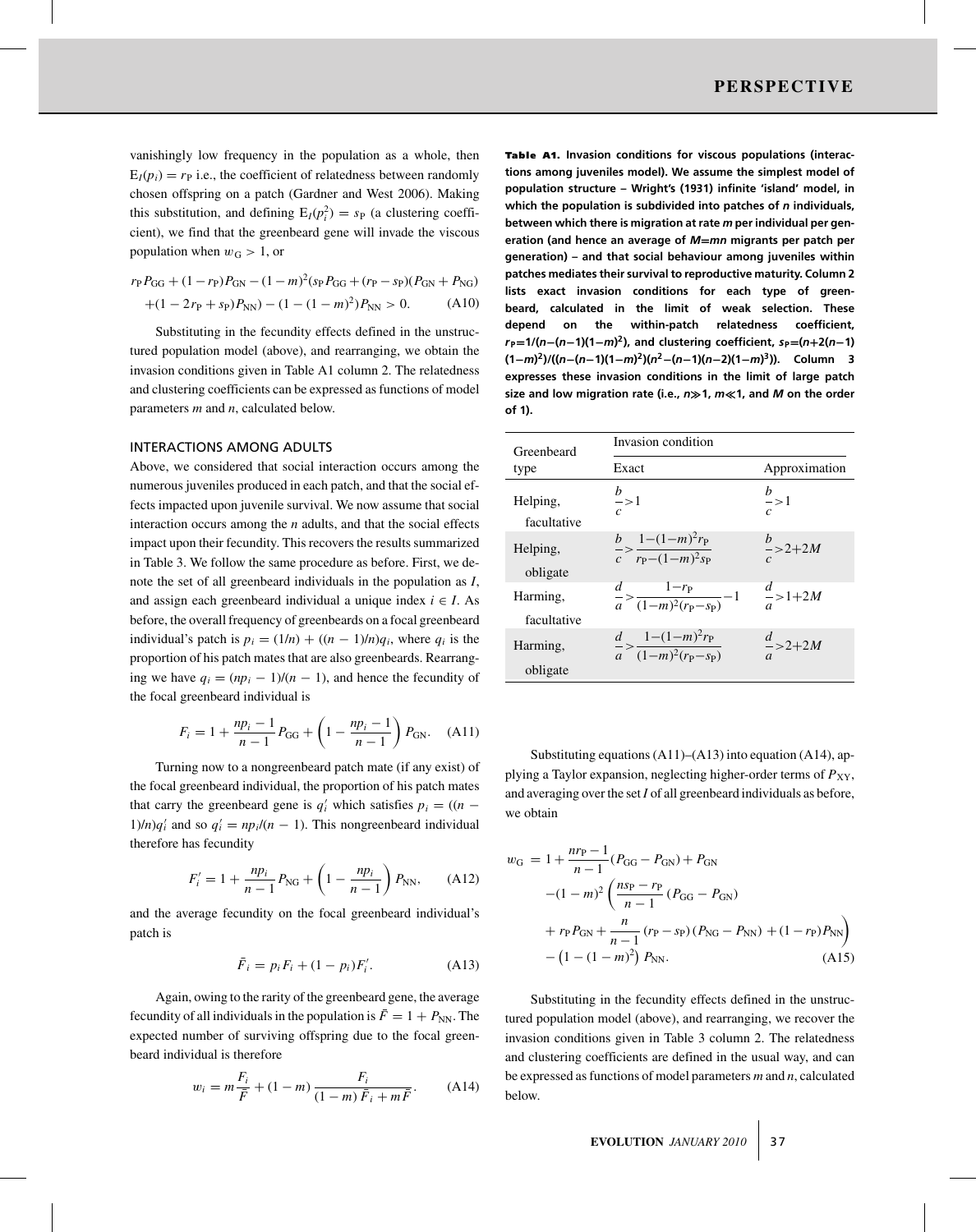vanishingly low frequency in the population as a whole, then  $E_I(p_i) = r_P$  i.e., the coefficient of relatedness between randomly chosen offspring on a patch (Gardner and West 2006). Making this substitution, and defining  $E_I(p_i^2) = s_P$  (a clustering coefficient), we find that the greenbeard gene will invade the viscous population when  $w_G > 1$ , or

$$
r_{P}P_{GG} + (1 - r_{P})P_{GN} - (1 - m)^{2}(s_{P}P_{GG} + (r_{P} - s_{P})(P_{GN} + P_{NG})
$$

$$
+ (1 - 2r_{P} + s_{P})P_{NN}) - (1 - (1 - m)^{2})P_{NN} > 0.
$$
(A10)

Substituting in the fecundity effects defined in the unstructured population model (above), and rearranging, we obtain the invasion conditions given in Table A1 column 2. The relatedness and clustering coefficients can be expressed as functions of model parameters *m* and *n*, calculated below.

#### INTERACTIONS AMONG ADULTS

Above, we considered that social interaction occurs among the numerous juveniles produced in each patch, and that the social effects impacted upon juvenile survival. We now assume that social interaction occurs among the *n* adults, and that the social effects impact upon their fecundity. This recovers the results summarized in Table 3. We follow the same procedure as before. First, we denote the set of all greenbeard individuals in the population as *I*, and assign each greenbeard individual a unique index  $i \in I$ . As before, the overall frequency of greenbeards on a focal greenbeard individual's patch is  $p_i = (1/n) + ((n - 1)/n)q_i$ , where  $q_i$  is the proportion of his patch mates that are also greenbeards. Rearranging we have  $q_i = (np_i - 1)/(n - 1)$ , and hence the fecundity of the focal greenbeard individual is

$$
F_i = 1 + \frac{np_i - 1}{n - 1} P_{GG} + \left( 1 - \frac{np_i - 1}{n - 1} \right) P_{GN}.
$$
 (A11)

Turning now to a nongreenbeard patch mate (if any exist) of the focal greenbeard individual, the proportion of his patch mates that carry the greenbeard gene is  $q_i'$  which satisfies  $p_i = (n -$ 1)*/n*) $q'_i$  and so  $q'_i = np_i/(n-1)$ . This nongreenbeard individual therefore has fecundity

$$
F_i' = 1 + \frac{np_i}{n-1} P_{\text{NG}} + \left(1 - \frac{np_i}{n-1}\right) P_{\text{NN}}, \quad (A12)
$$

and the average fecundity on the focal greenbeard individual's patch is

$$
\bar{F}_i = p_i F_i + (1 - p_i) F'_i.
$$
 (A13)

Again, owing to the rarity of the greenbeard gene, the average fecundity of all individuals in the population is  $\bar{F} = 1 + P_{NN}$ . The expected number of surviving offspring due to the focal greenbeard individual is therefore

$$
w_i = m \frac{F_i}{\bar{F}} + (1 - m) \frac{F_i}{(1 - m)\bar{F}_i + m\bar{F}}.
$$
 (A14)

Table A1. Invasion conditions for viscous populations (interac**tions among juveniles model). We assume the simplest model of population structure – Wright's (1931) infinite 'island' model, in which the population is subdivided into patches of** *n* **individuals, between which there is migration at rate** *m* **per individual per generation (and hence an average of** *M***=***mn* **migrants per patch per generation) – and that social behaviour among juveniles within patches mediates their survival to reproductive maturity. Column 2 lists exact invasion conditions for each type of greenbeard, calculated in the limit of weak selection. These depend on the within-patch relatedness coefficient,**  $r_{\rm P}$ =1/(n–(n–1)(1–m)<sup>2</sup>), and clustering coefficient,  $s_{\rm P}$ =(n+2(n–1)  $(1-m)^2$ )/((n–(n–1)(1–m)<sup>2</sup>)(n<sup>2</sup>–(n–1)(n–2)(1–m)<sup>3</sup>)). Column 3 **expresses these invasion conditions in the limit of large patch size and low migration rate (i.e.,** *n***-1,** *m***1, and** *M* **on the order of 1).**

| Greenbeard              | Invasion condition                                                                |                                   |  |
|-------------------------|-----------------------------------------------------------------------------------|-----------------------------------|--|
| type                    | Exact                                                                             | Approximation                     |  |
| Helping,<br>facultative | $\frac{b}{-} > 1$                                                                 | $\frac{b}{-} > 1$                 |  |
| Helping,<br>obligate    | $\frac{b}{c} > \frac{1 - (1 - m)^2 r_{\rm P}}{r_{\rm P} - (1 - m)^2 s_{\rm P}}$   | $b^{2}$ ->2+2 <i>M</i>            |  |
| Harming,<br>facultative | $\frac{d}{a} > \frac{1-r_{\rm P}}{(1-m)^2(r_{\rm P}-s_{\rm P})} - 1$              | $\frac{d}{2} > 1 + 2M$<br>a       |  |
| Harming,<br>obligate    | $\frac{d}{a} > \frac{1 - (1 - m)^2 r_{\rm P}}{(1 - m)^2 (r_{\rm P} - s_{\rm P})}$ | $\frac{d}{2}$ > 2+2 <i>M</i><br>a |  |

Substituting equations (A11)–(A13) into equation (A14), applying a Taylor expansion, neglecting higher-order terms of  $P_{XY}$ , and averaging over the set*I* of all greenbeard individuals as before, we obtain

$$
w_{\rm G} = 1 + \frac{nr_{\rm P} - 1}{n - 1} (P_{\rm GG} - P_{\rm GN}) + P_{\rm GN}
$$
  
 
$$
- (1 - m)^2 \left( \frac{n s_{\rm P} - r_{\rm P}}{n - 1} (P_{\rm GG} - P_{\rm GN}) + r_{\rm P} P_{\rm GN} + \frac{n}{n - 1} (r_{\rm P} - s_{\rm P}) (P_{\rm NG} - P_{\rm NN}) + (1 - r_{\rm P}) P_{\rm NN} \right)
$$
  
 
$$
- (1 - (1 - m)^2) P_{\rm NN}. \tag{A15}
$$

Substituting in the fecundity effects defined in the unstructured population model (above), and rearranging, we recover the invasion conditions given in Table 3 column 2. The relatedness and clustering coefficients are defined in the usual way, and can be expressed as functions of model parameters *m* and *n*, calculated below.